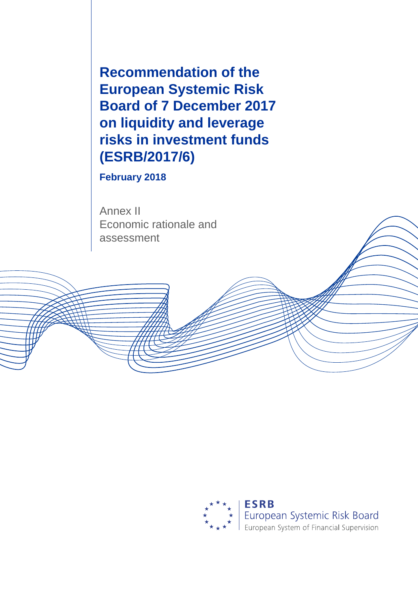**Recommendation of the European Systemic Risk Board of 7 December 2017 on liquidity and leverage risks in investment funds (ESRB/2017/6)**

**February 2018**

Annex II Economic rationale and assessment

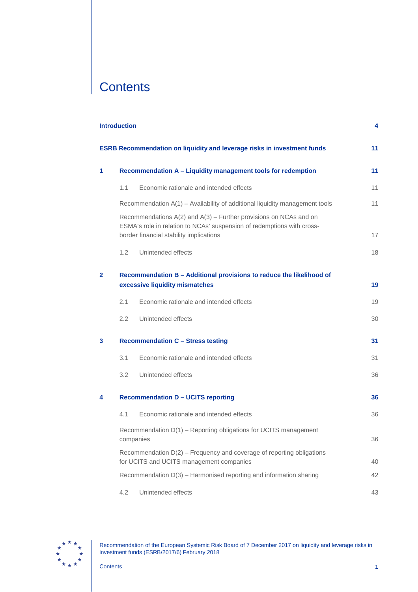# **Contents**

|              | <b>Introduction</b>                                          |                                                                                                                                                                                            | 4  |  |  |  |  |  |  |  |
|--------------|--------------------------------------------------------------|--------------------------------------------------------------------------------------------------------------------------------------------------------------------------------------------|----|--|--|--|--|--|--|--|
|              |                                                              | <b>ESRB Recommendation on liquidity and leverage risks in investment funds</b>                                                                                                             | 11 |  |  |  |  |  |  |  |
| 1            | Recommendation A - Liquidity management tools for redemption |                                                                                                                                                                                            |    |  |  |  |  |  |  |  |
|              | 1.1                                                          | Economic rationale and intended effects                                                                                                                                                    | 11 |  |  |  |  |  |  |  |
|              |                                                              | Recommendation A(1) - Availability of additional liquidity management tools                                                                                                                | 11 |  |  |  |  |  |  |  |
|              |                                                              | Recommendations $A(2)$ and $A(3)$ – Further provisions on NCAs and on<br>ESMA's role in relation to NCAs' suspension of redemptions with cross-<br>border financial stability implications | 17 |  |  |  |  |  |  |  |
|              | 1.2                                                          | Unintended effects                                                                                                                                                                         | 18 |  |  |  |  |  |  |  |
| $\mathbf{2}$ |                                                              | Recommendation B - Additional provisions to reduce the likelihood of<br>excessive liquidity mismatches                                                                                     | 19 |  |  |  |  |  |  |  |
|              | 2.1                                                          | Economic rationale and intended effects                                                                                                                                                    | 19 |  |  |  |  |  |  |  |
|              | 2.2                                                          | Unintended effects                                                                                                                                                                         | 30 |  |  |  |  |  |  |  |
| 3            |                                                              | <b>Recommendation C - Stress testing</b>                                                                                                                                                   | 31 |  |  |  |  |  |  |  |
|              | 3.1                                                          | Economic rationale and intended effects                                                                                                                                                    | 31 |  |  |  |  |  |  |  |
|              | 3.2                                                          | Unintended effects                                                                                                                                                                         | 36 |  |  |  |  |  |  |  |
| 4            |                                                              | <b>Recommendation D - UCITS reporting</b>                                                                                                                                                  | 36 |  |  |  |  |  |  |  |
|              | 4.1                                                          | Economic rationale and intended effects                                                                                                                                                    | 36 |  |  |  |  |  |  |  |
|              |                                                              | Recommendation D(1) - Reporting obligations for UCITS management<br>companies                                                                                                              | 36 |  |  |  |  |  |  |  |
|              |                                                              | Recommendation D(2) - Frequency and coverage of reporting obligations<br>for UCITS and UCITS management companies                                                                          | 40 |  |  |  |  |  |  |  |
|              |                                                              | Recommendation D(3) - Harmonised reporting and information sharing                                                                                                                         | 42 |  |  |  |  |  |  |  |
|              | 4.2                                                          | Unintended effects                                                                                                                                                                         | 43 |  |  |  |  |  |  |  |

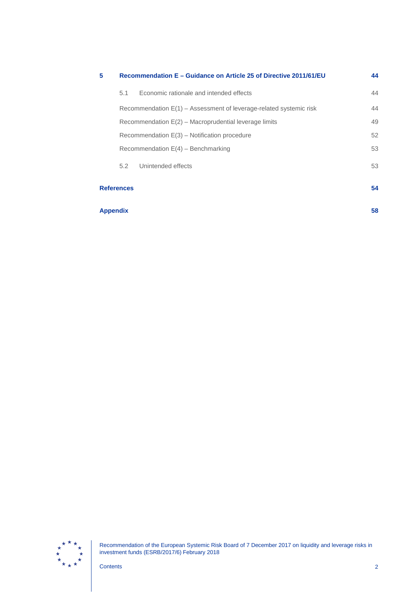| 5                 |                                                         | Recommendation E – Guidance on Article 25 of Directive 2011/61/EU  | 44 |  |  |  |  |  |
|-------------------|---------------------------------------------------------|--------------------------------------------------------------------|----|--|--|--|--|--|
|                   | 5.1                                                     | Economic rationale and intended effects                            | 44 |  |  |  |  |  |
|                   |                                                         | Recommendation E(1) – Assessment of leverage-related systemic risk | 44 |  |  |  |  |  |
|                   | Recommendation $E(2)$ – Macroprudential leverage limits |                                                                    |    |  |  |  |  |  |
|                   | Recommendation $E(3)$ – Notification procedure          |                                                                    |    |  |  |  |  |  |
|                   | Recommendation $E(4)$ – Benchmarking                    |                                                                    |    |  |  |  |  |  |
|                   | 5.2                                                     | Unintended effects                                                 | 53 |  |  |  |  |  |
| <b>References</b> |                                                         |                                                                    | 54 |  |  |  |  |  |
| <b>Appendix</b>   |                                                         |                                                                    | 58 |  |  |  |  |  |

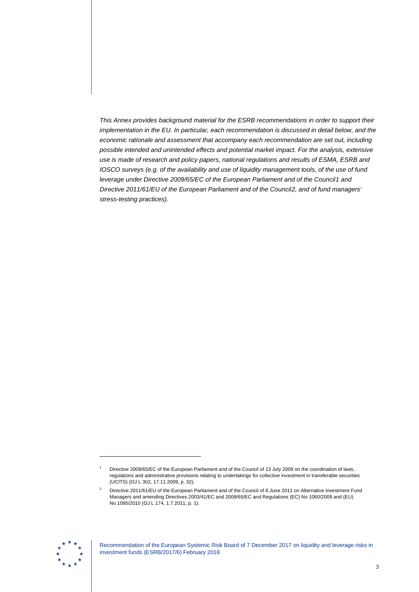*This Annex provides background material for the ESRB recommendations in order to support their implementation in the EU. In particular, each recommendation is discussed in detail below, and the economic rationale and assessment that accompany each recommendation are set out, including possible intended and unintended effects and potential market impact. For the analysis, extensive use is made of research and policy papers, national regulations and results of ESMA, ESRB and IOSCO surveys (e.g. of the availability and use of liquidity management tools, of the use of fund leverage under Directive 2009/65/EC of the European Parliament and of the Council[1](#page-3-0) and Directive 2011/61/EU of the European Parliament and of the Council[2](#page-3-1), and of fund managers' stress-testing practices).*

<span id="page-3-1"></span><span id="page-3-0"></span>

Directive 2009/65/EC of the European Parliament and of the Council of 13 July 2009 on the coordination of laws, regulations and administrative provisions relating to undertakings for collective investment in transferable securities (UCITS) (OJ L 302, 17.11.2009, p. 32).

<sup>&</sup>lt;sup>2</sup> Directive 2011/61/EU of the European Parliament and of the Council of 8 June 2011 on Alternative Investment Fund Managers and amending Directives 2003/41/EC and 2009/65/EC and Regulations (EC) No 1060/2009 and (EU) No 1095/2010 (OJ L 174, 1.7.2011, p. 1).

Recommendation of the European Systemic Risk Board of 7 December 2017 on liquidity and leverage risks in investment funds (ESRB/2017/6) February 2018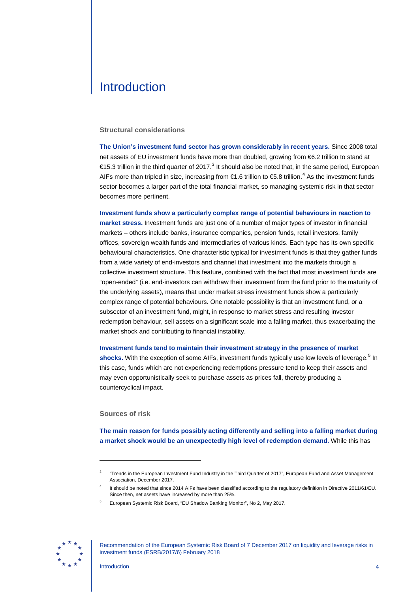# <span id="page-4-0"></span>**Introduction**

#### **Structural considerations**

**The Union's investment fund sector has grown considerably in recent years.** Since 2008 total net assets of EU investment funds have more than doubled, growing from €6.2 trillion to stand at €15.[3](#page-4-1) trillion in the third quarter of 2017.<sup>3</sup> It should also be noted that, in the same period, European AIFs more than tripled in size, increasing from  $\epsilon$ 1.6 trillion to  $\epsilon$ 5.8 trillion.<sup>[4](#page-4-2)</sup> As the investment funds sector becomes a larger part of the total financial market, so managing systemic risk in that sector becomes more pertinent.

**Investment funds show a particularly complex range of potential behaviours in reaction to market stress.** Investment funds are just one of a number of major types of investor in financial markets – others include banks, insurance companies, pension funds, retail investors, family offices, sovereign wealth funds and intermediaries of various kinds. Each type has its own specific behavioural characteristics. One characteristic typical for investment funds is that they gather funds from a wide variety of end-investors and channel that investment into the markets through a collective investment structure. This feature, combined with the fact that most investment funds are "open-ended" (i.e. end-investors can withdraw their investment from the fund prior to the maturity of the underlying assets), means that under market stress investment funds show a particularly complex range of potential behaviours. One notable possibility is that an investment fund, or a subsector of an investment fund, might, in response to market stress and resulting investor redemption behaviour, sell assets on a significant scale into a falling market, thus exacerbating the market shock and contributing to financial instability.

**Investment funds tend to maintain their investment strategy in the presence of market**  shocks. With the exception of some AIFs, investment funds typically use low levels of leverage.<sup>[5](#page-4-3)</sup> In this case, funds which are not experiencing redemptions pressure tend to keep their assets and may even opportunistically seek to purchase assets as prices fall, thereby producing a countercyclical impact.

### **Sources of risk**

-

**The main reason for funds possibly acting differently and selling into a falling market during a market shock would be an unexpectedly high level of redemption demand.** While this has

<sup>5</sup> European Systemic Risk Board, "EU Shadow Banking Monitor", No 2, May 2017.

<span id="page-4-3"></span><span id="page-4-2"></span><span id="page-4-1"></span>

Recommendation of the European Systemic Risk Board of 7 December 2017 on liquidity and leverage risks in investment funds (ESRB/2017/6) February 2018

<sup>3</sup> "Trends in the European Investment Fund Industry in the Third Quarter of 2017", European Fund and Asset Management Association, December 2017.

It should be noted that since 2014 AIFs have been classified according to the regulatory definition in Directive 2011/61/EU. Since then, net assets have increased by more than 25%.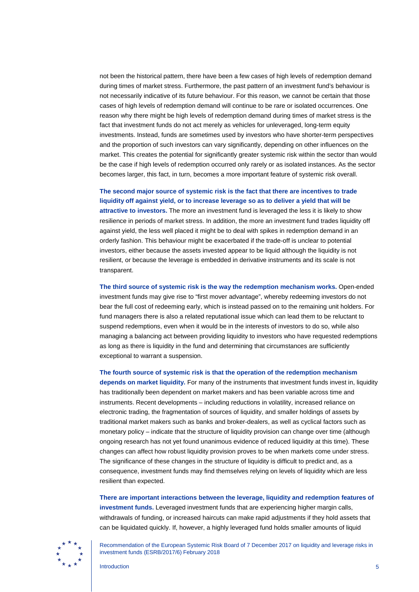not been the historical pattern, there have been a few cases of high levels of redemption demand during times of market stress. Furthermore, the past pattern of an investment fund's behaviour is not necessarily indicative of its future behaviour. For this reason, we cannot be certain that those cases of high levels of redemption demand will continue to be rare or isolated occurrences. One reason why there might be high levels of redemption demand during times of market stress is the fact that investment funds do not act merely as vehicles for unleveraged, long-term equity investments. Instead, funds are sometimes used by investors who have shorter-term perspectives and the proportion of such investors can vary significantly, depending on other influences on the market. This creates the potential for significantly greater systemic risk within the sector than would be the case if high levels of redemption occurred only rarely or as isolated instances. As the sector becomes larger, this fact, in turn, becomes a more important feature of systemic risk overall.

### **The second major source of systemic risk is the fact that there are incentives to trade liquidity off against yield, or to increase leverage so as to deliver a yield that will be**

**attractive to investors.** The more an investment fund is leveraged the less it is likely to show resilience in periods of market stress. In addition, the more an investment fund trades liquidity off against yield, the less well placed it might be to deal with spikes in redemption demand in an orderly fashion. This behaviour might be exacerbated if the trade-off is unclear to potential investors, either because the assets invested appear to be liquid although the liquidity is not resilient, or because the leverage is embedded in derivative instruments and its scale is not transparent.

**The third source of systemic risk is the way the redemption mechanism works.** Open-ended investment funds may give rise to "first mover advantage", whereby redeeming investors do not bear the full cost of redeeming early, which is instead passed on to the remaining unit holders. For fund managers there is also a related reputational issue which can lead them to be reluctant to suspend redemptions, even when it would be in the interests of investors to do so, while also managing a balancing act between providing liquidity to investors who have requested redemptions as long as there is liquidity in the fund and determining that circumstances are sufficiently exceptional to warrant a suspension.

**The fourth source of systemic risk is that the operation of the redemption mechanism depends on market liquidity.** For many of the instruments that investment funds invest in, liquidity has traditionally been dependent on market makers and has been variable across time and instruments. Recent developments – including reductions in volatility, increased reliance on electronic trading, the fragmentation of sources of liquidity, and smaller holdings of assets by traditional market makers such as banks and broker-dealers, as well as cyclical factors such as monetary policy – indicate that the structure of liquidity provision can change over time (although ongoing research has not yet found unanimous evidence of reduced liquidity at this time). These changes can affect how robust liquidity provision proves to be when markets come under stress. The significance of these changes in the structure of liquidity is difficult to predict and, as a consequence, investment funds may find themselves relying on levels of liquidity which are less resilient than expected.

**There are important interactions between the leverage, liquidity and redemption features of investment funds.** Leveraged investment funds that are experiencing higher margin calls, withdrawals of funding, or increased haircuts can make rapid adjustments if they hold assets that can be liquidated quickly. If, however, a highly leveraged fund holds smaller amounts of liquid

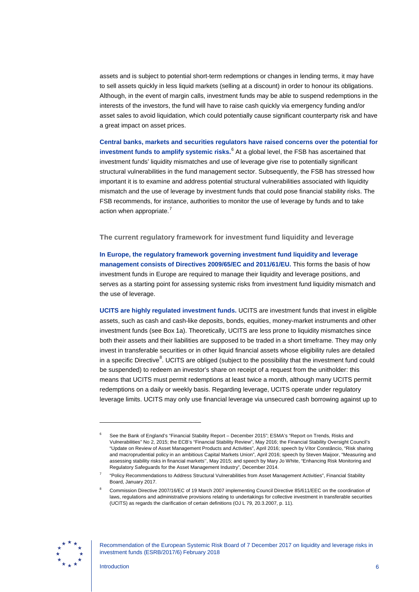assets and is subject to potential short-term redemptions or changes in lending terms, it may have to sell assets quickly in less liquid markets (selling at a discount) in order to honour its obligations. Although, in the event of margin calls, investment funds may be able to suspend redemptions in the interests of the investors, the fund will have to raise cash quickly via emergency funding and/or asset sales to avoid liquidation, which could potentially cause significant counterparty risk and have a great impact on asset prices.

**Central banks, markets and securities regulators have raised concerns over the potential for investment funds to amplify systemic risks.**[6](#page-6-0) At a global level, the FSB has ascertained that investment funds' liquidity mismatches and use of leverage give rise to potentially significant structural vulnerabilities in the fund management sector. Subsequently, the FSB has stressed how important it is to examine and address potential structural vulnerabilities associated with liquidity mismatch and the use of leverage by investment funds that could pose financial stability risks. The FSB recommends, for instance, authorities to monitor the use of leverage by funds and to take action when appropriate.<sup>[7](#page-6-1)</sup>

**The current regulatory framework for investment fund liquidity and leverage**

**In Europe, the regulatory framework governing investment fund liquidity and leverage management consists of Directives 2009/65/EC and 2011/61/EU.** This forms the basis of how investment funds in Europe are required to manage their liquidity and leverage positions, and serves as a starting point for assessing systemic risks from investment fund liquidity mismatch and the use of leverage.

**UCITS are highly regulated investment funds.** UCITS are investment funds that invest in eligible assets, such as cash and cash-like deposits, bonds, equities, money-market instruments and other investment funds (see Box 1a). Theoretically, UCITS are less prone to liquidity mismatches since both their assets and their liabilities are supposed to be traded in a short timeframe. They may only invest in transferable securities or in other liquid financial assets whose eligibility rules are detailed in a specific Directive<sup>[8](#page-6-2)</sup>. UCITS are obliged (subject to the possibility that the investment fund could be suspended) to redeem an investor's share on receipt of a request from the unitholder: this means that UCITS must permit redemptions at least twice a month, although many UCITS permit redemptions on a daily or weekly basis. Regarding leverage, UCITS operate under regulatory leverage limits. UCITS may only use financial leverage via unsecured cash borrowing against up to

<span id="page-6-2"></span><span id="page-6-1"></span>

Recommendation of the European Systemic Risk Board of 7 December 2017 on liquidity and leverage risks in investment funds (ESRB/2017/6) February 2018

<span id="page-6-0"></span><sup>6</sup> See the Bank of England's "Financial Stability Report – December 2015"; ESMA's "Report on Trends, Risks and Vulnerabilities" No 2, 2015; the ECB's "Financial Stability Review", May 2016; the Financial Stability Oversight Council's "Update on Review of Asset Management Products and Activities", April 2016; speech by Vítor Constâncio, "Risk sharing and macroprudential policy in an ambitious Capital Markets Union", April 2016; speech by Steven Maijoor, "Measuring and assessing stability risks in financial markets'', May 2015; and speech by Mary Jo White, "Enhancing Risk Monitoring and Regulatory Safeguards for the Asset Management Industry", December 2014.

<sup>7</sup> "Policy Recommendations to Address Structural Vulnerabilities from Asset Management Activities", Financial Stability Board, January 2017.

<sup>8</sup> Commission Directive 2007/16/EC of 19 March 2007 implementing Council Directive 85/611/EEC on the coordination of laws, regulations and administrative provisions relating to undertakings for collective investment in transferable securities (UCITS) as regards the clarification of certain definitions (OJ L 79, 20.3.2007, p. 11).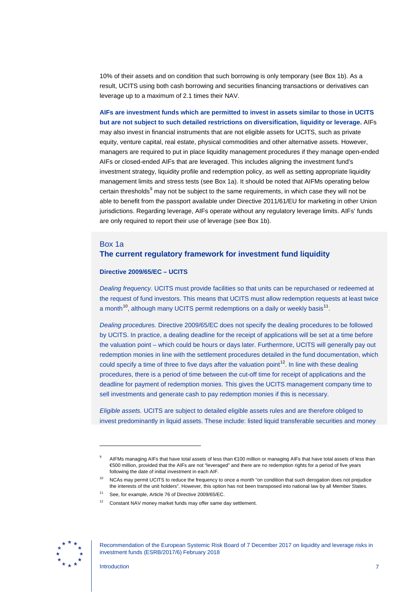10% of their assets and on condition that such borrowing is only temporary (see Box 1b). As a result, UCITS using both cash borrowing and securities financing transactions or derivatives can leverage up to a maximum of 2.1 times their NAV.

**AIFs are investment funds which are permitted to invest in assets similar to those in UCITS but are not subject to such detailed restrictions on diversification, liquidity or leverage.** AIFs may also invest in financial instruments that are not eligible assets for UCITS, such as private equity, venture capital, real estate, physical commodities and other alternative assets. However, managers are required to put in place liquidity management procedures if they manage open-ended AIFs or closed-ended AIFs that are leveraged. This includes aligning the investment fund's investment strategy, liquidity profile and redemption policy, as well as setting appropriate liquidity management limits and stress tests (see Box 1a). It should be noted that AIFMs operating below certain thresholds<sup>[9](#page-7-0)</sup> may not be subject to the same requirements, in which case they will not be able to benefit from the passport available under Directive 2011/61/EU for marketing in other Union jurisdictions. Regarding leverage, AIFs operate without any regulatory leverage limits. AIFs' funds are only required to report their use of leverage (see Box 1b).

## Box 1a **The current regulatory framework for investment fund liquidity**

#### **Directive 2009/65/EC – UCITS**

*Dealing frequency.* UCITS must provide facilities so that units can be repurchased or redeemed at the request of fund investors. This means that UCITS must allow redemption requests at least twice a month<sup>[10](#page-7-1)</sup>, although many UCITS permit redemptions on a daily or weekly basis<sup>11</sup>.

*Dealing procedures.* Directive 2009/65/EC does not specify the dealing procedures to be followed by UCITS. In practice, a dealing deadline for the receipt of applications will be set at a time before the valuation point – which could be hours or days later. Furthermore, UCITS will generally pay out redemption monies in line with the settlement procedures detailed in the fund documentation, which could specify a time of three to five days after the valuation point<sup>[12](#page-7-3)</sup>. In line with these dealing procedures, there is a period of time between the cut-off time for receipt of applications and the deadline for payment of redemption monies. This gives the UCITS management company time to sell investments and generate cash to pay redemption monies if this is necessary.

*Eligible assets.* UCITS are subject to detailed eligible assets rules and are therefore obliged to invest predominantly in liquid assets. These include: listed liquid transferable securities and money

<span id="page-7-3"></span><span id="page-7-2"></span><span id="page-7-1"></span><span id="page-7-0"></span>

Recommendation of the European Systemic Risk Board of 7 December 2017 on liquidity and leverage risks in investment funds (ESRB/2017/6) February 2018

AIFMs managing AIFs that have total assets of less than €100 million or managing AIFs that have total assets of less than €500 million, provided that the AIFs are not "leveraged" and there are no redemption rights for a period of five years following the date of initial investment in each AIF.

NCAs may permit UCITS to reduce the frequency to once a month "on condition that such derogation does not prejudice the interests of the unit holders". However, this option has not been transposed into national law by all Member States.

See, for example, Article 76 of Directive 2009/65/EC.

<sup>&</sup>lt;sup>12</sup> Constant NAV money market funds may offer same day settlement.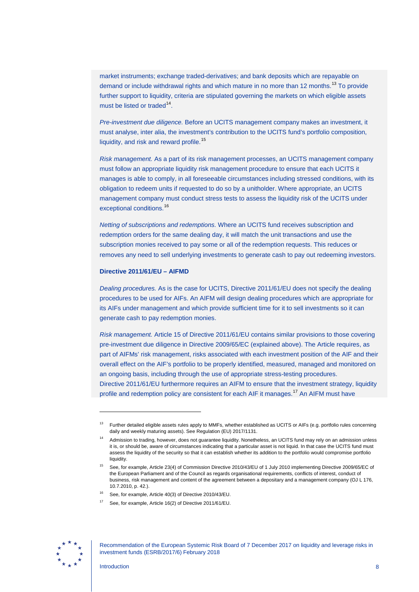market instruments; exchange traded-derivatives; and bank deposits which are repayable on demand or include withdrawal rights and which mature in no more than 12 months.<sup>[13](#page-8-0)</sup> To provide further support to liquidity, criteria are stipulated governing the markets on which eligible assets must be listed or traded $14$ .

*Pre-investment due diligence.* Before an UCITS management company makes an investment, it must analyse, inter alia, the investment's contribution to the UCITS fund's portfolio composition, liquidity, and risk and reward profile.<sup>[15](#page-8-2)</sup>

*Risk management.* As a part of its risk management processes, an UCITS management company must follow an appropriate liquidity risk management procedure to ensure that each UCITS it manages is able to comply, in all foreseeable circumstances including stressed conditions, with its obligation to redeem units if requested to do so by a unitholder. Where appropriate, an UCITS management company must conduct stress tests to assess the liquidity risk of the UCITS under exceptional conditions.<sup>[16](#page-8-3)</sup>

*Netting of subscriptions and redemptions.* Where an UCITS fund receives subscription and redemption orders for the same dealing day, it will match the unit transactions and use the subscription monies received to pay some or all of the redemption requests. This reduces or removes any need to sell underlying investments to generate cash to pay out redeeming investors.

### **Directive 2011/61/EU – AIFMD**

*Dealing procedures.* As is the case for UCITS, Directive 2011/61/EU does not specify the dealing procedures to be used for AIFs. An AIFM will design dealing procedures which are appropriate for its AIFs under management and which provide sufficient time for it to sell investments so it can generate cash to pay redemption monies.

*Risk management.* Article 15 of Directive 2011/61/EU contains similar provisions to those covering pre-investment due diligence in Directive 2009/65/EC (explained above). The Article requires, as part of AIFMs' risk management, risks associated with each investment position of the AIF and their overall effect on the AIF's portfolio to be properly identified, measured, managed and monitored on an ongoing basis, including through the use of appropriate stress-testing procedures. Directive 2011/61/EU furthermore requires an AIFM to ensure that the investment strategy, liquidity profile and redemption policy are consistent for each AIF it manages.<sup>[17](#page-8-4)</sup> An AIFM must have

<span id="page-8-4"></span><span id="page-8-3"></span><span id="page-8-2"></span>

<span id="page-8-0"></span><sup>&</sup>lt;sup>13</sup> Further detailed eligible assets rules apply to MMFs, whether established as UCITS or AIFs (e.g. portfolio rules concerning daily and weekly maturing assets). See Regulation (EU) 2017/1131.

<span id="page-8-1"></span>Admission to trading, however, does not guarantee liquidity. Nonetheless, an UCITS fund may rely on an admission unless it is, or should be, aware of circumstances indicating that a particular asset is not liquid. In that case the UCITS fund must assess the liquidity of the security so that it can establish whether its addition to the portfolio would compromise portfolio liquidity.

<sup>15</sup> See, for example, Article 23(4) of Commission Directive 2010/43/EU of 1 July 2010 implementing Directive 2009/65/EC of the European Parliament and of the Council as regards organisational requirements, conflicts of interest, conduct of business, risk management and content of the agreement between a depositary and a management company (OJ L 176, 10.7.2010, p. 42.).

See, for example, Article 40(3) of Directive 2010/43/EU.

See, for example, Article 16(2) of Directive 2011/61/EU.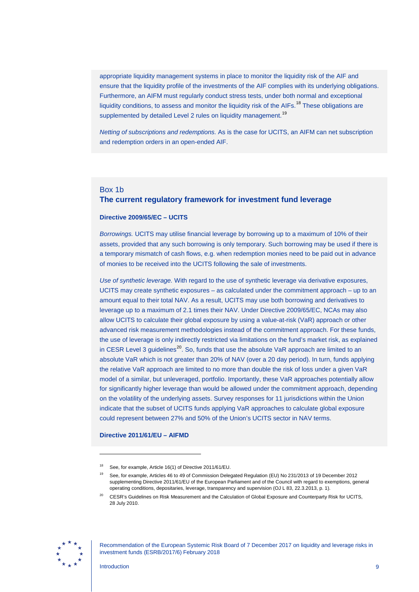appropriate liquidity management systems in place to monitor the liquidity risk of the AIF and ensure that the liquidity profile of the investments of the AIF complies with its underlying obligations. Furthermore, an AIFM must regularly conduct stress tests, under both normal and exceptional liquidity conditions, to assess and monitor the liquidity risk of the AIFs.<sup>[18](#page-9-0)</sup> These obligations are supplemented by detailed Level 2 rules on liquidity management.<sup>[19](#page-9-1)</sup>

*Netting of subscriptions and redemptions.* As is the case for UCITS, an AIFM can net subscription and redemption orders in an open-ended AIF.

## Box 1b **The current regulatory framework for investment fund leverage**

#### **Directive 2009/65/EC – UCITS**

*Borrowings.* UCITS may utilise financial leverage by borrowing up to a maximum of 10% of their assets, provided that any such borrowing is only temporary. Such borrowing may be used if there is a temporary mismatch of cash flows, e.g. when redemption monies need to be paid out in advance of monies to be received into the UCITS following the sale of investments.

*Use of synthetic leverage.* With regard to the use of synthetic leverage via derivative exposures, UCITS may create synthetic exposures – as calculated under the commitment approach – up to an amount equal to their total NAV. As a result, UCITS may use both borrowing and derivatives to leverage up to a maximum of 2.1 times their NAV. Under Directive 2009/65/EC, NCAs may also allow UCITS to calculate their global exposure by using a value-at-risk (VaR) approach or other advanced risk measurement methodologies instead of the commitment approach. For these funds, the use of leverage is only indirectly restricted via limitations on the fund's market risk, as explained in CESR Level 3 guidelines<sup>[20](#page-9-2)</sup>. So, funds that use the absolute VaR approach are limited to an absolute VaR which is not greater than 20% of NAV (over a 20 day period). In turn, funds applying the relative VaR approach are limited to no more than double the risk of loss under a given VaR model of a similar, but unleveraged, portfolio. Importantly, these VaR approaches potentially allow for significantly higher leverage than would be allowed under the commitment approach, depending on the volatility of the underlying assets. Survey responses for 11 jurisdictions within the Union indicate that the subset of UCITS funds applying VaR approaches to calculate global exposure could represent between 27% and 50% of the Union's UCITS sector in NAV terms.

#### **Directive 2011/61/EU – AIFMD**

<span id="page-9-2"></span><span id="page-9-1"></span><span id="page-9-0"></span>

Recommendation of the European Systemic Risk Board of 7 December 2017 on liquidity and leverage risks in investment funds (ESRB/2017/6) February 2018

<sup>&</sup>lt;sup>18</sup> See, for example, Article 16(1) of Directive 2011/61/EU.

<sup>19</sup> See, for example, Articles 46 to 49 of Commission Delegated Regulation (EU) No 231/2013 of 19 December 2012 supplementing Directive 2011/61/EU of the European Parliament and of the Council with regard to exemptions, general operating conditions, depositaries, leverage, transparency and supervision (OJ L 83, 22.3.2013, p. 1).

<sup>20</sup> CESR's Guidelines on Risk Measurement and the Calculation of Global Exposure and Counterparty Risk for UCITS, 28 July 2010.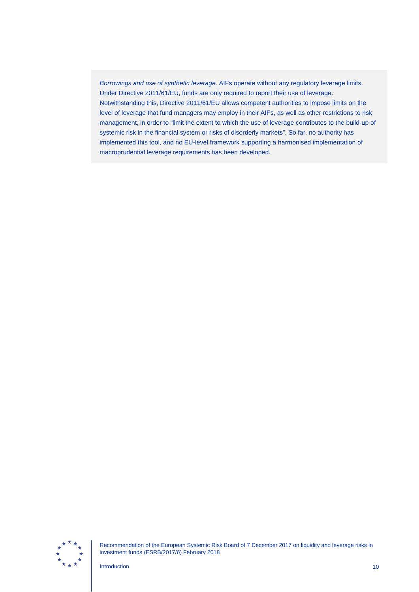*Borrowings and use of synthetic leverage.* AIFs operate without any regulatory leverage limits. Under Directive 2011/61/EU, funds are only required to report their use of leverage. Notwithstanding this, Directive 2011/61/EU allows competent authorities to impose limits on the level of leverage that fund managers may employ in their AIFs, as well as other restrictions to risk management, in order to "limit the extent to which the use of leverage contributes to the build-up of systemic risk in the financial system or risks of disorderly markets". So far, no authority has implemented this tool, and no EU-level framework supporting a harmonised implementation of macroprudential leverage requirements has been developed.



Recommendation of the European Systemic Risk Board of 7 December 2017 on liquidity and leverage risks in investment funds (ESRB/2017/6) February 2018

**Introduction** 10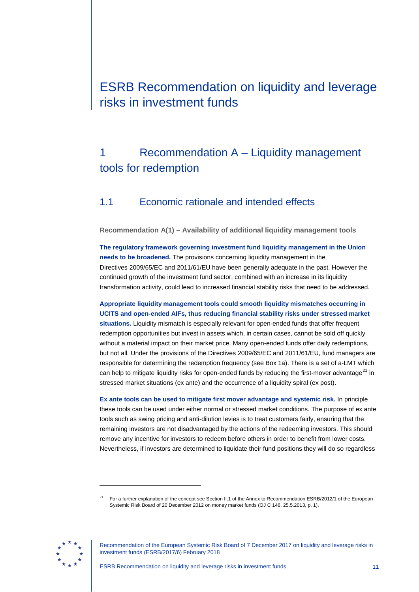# <span id="page-11-0"></span>ESRB Recommendation on liquidity and leverage risks in investment funds

# <span id="page-11-1"></span>1 Recommendation A – Liquidity management tools for redemption

# <span id="page-11-2"></span>1.1 Economic rationale and intended effects

<span id="page-11-3"></span>**Recommendation A(1) – Availability of additional liquidity management tools**

**The regulatory framework governing investment fund liquidity management in the Union needs to be broadened.** The provisions concerning liquidity management in the Directives 2009/65/EC and 2011/61/EU have been generally adequate in the past. However the continued growth of the investment fund sector, combined with an increase in its liquidity transformation activity, could lead to increased financial stability risks that need to be addressed.

**Appropriate liquidity management tools could smooth liquidity mismatches occurring in UCITS and open-ended AIFs, thus reducing financial stability risks under stressed market situations.** Liquidity mismatch is especially relevant for open-ended funds that offer frequent redemption opportunities but invest in assets which, in certain cases, cannot be sold off quickly without a material impact on their market price. Many open-ended funds offer daily redemptions, but not all. Under the provisions of the Directives 2009/65/EC and 2011/61/EU, fund managers are responsible for determining the redemption frequency (see Box 1a). There is a set of a-LMT which can help to mitigate liquidity risks for open-ended funds by reducing the first-mover advantage<sup>[21](#page-11-4)</sup> in stressed market situations (ex ante) and the occurrence of a liquidity spiral (ex post).

**Ex ante tools can be used to mitigate first mover advantage and systemic risk.** In principle these tools can be used under either normal or stressed market conditions. The purpose of ex ante tools such as swing pricing and anti-dilution levies is to treat customers fairly, ensuring that the remaining investors are not disadvantaged by the actions of the redeeming investors. This should remove any incentive for investors to redeem before others in order to benefit from lower costs. Nevertheless, if investors are determined to liquidate their fund positions they will do so regardless

<span id="page-11-4"></span>

<sup>21</sup> For a further explanation of the concept see Section II.1 of the Annex to Recommendation ESRB/2012/1 of the European Systemic Risk Board of 20 December 2012 on money market funds (OJ C 146, 25.5.2013, p. 1).

Recommendation of the European Systemic Risk Board of 7 December 2017 on liquidity and leverage risks in investment funds (ESRB/2017/6) February 2018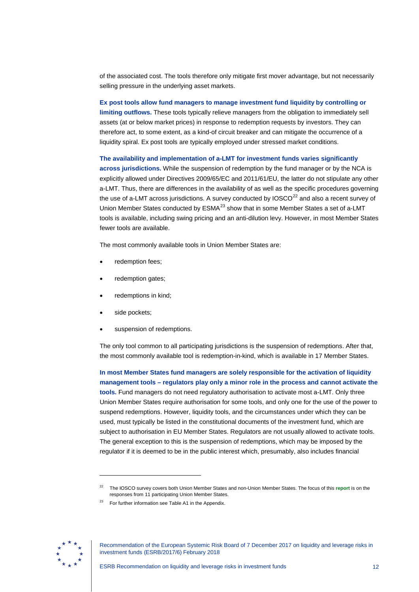of the associated cost. The tools therefore only mitigate first mover advantage, but not necessarily selling pressure in the underlying asset markets.

**Ex post tools allow fund managers to manage investment fund liquidity by controlling or limiting outflows.** These tools typically relieve managers from the obligation to immediately sell assets (at or below market prices) in response to redemption requests by investors. They can therefore act, to some extent, as a kind-of circuit breaker and can mitigate the occurrence of a liquidity spiral. Ex post tools are typically employed under stressed market conditions.

**The availability and implementation of a-LMT for investment funds varies significantly across jurisdictions.** While the suspension of redemption by the fund manager or by the NCA is explicitly allowed under Directives 2009/65/EC and 2011/61/EU, the latter do not stipulate any other a-LMT. Thus, there are differences in the availability of as well as the specific procedures governing the use of a-LMT across jurisdictions. A survey conducted by  $\text{IOSCO}^{22}$  $\text{IOSCO}^{22}$  $\text{IOSCO}^{22}$  and also a recent survey of Union Member States conducted by ESMA<sup>[23](#page-12-1)</sup> show that in some Member States a set of a-LMT tools is available, including swing pricing and an anti-dilution levy. However, in most Member States fewer tools are available.

The most commonly available tools in Union Member States are:

- redemption fees;
- redemption gates;
- redemptions in kind;
- side pockets;
- suspension of redemptions.

The only tool common to all participating jurisdictions is the suspension of redemptions. After that, the most commonly available tool is redemption-in-kind, which is available in 17 Member States.

**In most Member States fund managers are solely responsible for the activation of liquidity management tools – regulators play only a minor role in the process and cannot activate the tools.** Fund managers do not need regulatory authorisation to activate most a-LMT. Only three Union Member States require authorisation for some tools, and only one for the use of the power to suspend redemptions. However, liquidity tools, and the circumstances under which they can be used, must typically be listed in the constitutional documents of the investment fund, which are subject to authorisation in EU Member States. Regulators are not usually allowed to activate tools. The general exception to this is the suspension of redemptions, which may be imposed by the regulator if it is deemed to be in the public interest which, presumably, also includes financial

<span id="page-12-1"></span><span id="page-12-0"></span>

<sup>22</sup> The IOSCO survey covers both Union Member States and non-Union Member States. The focus of this **[report](https://www.iosco.org/library/pubdocs/pdf/IOSCOPD517.pdf)** is on the responses from 11 participating Union Member States.

For further information see Table A1 in the Appendix.

Recommendation of the European Systemic Risk Board of 7 December 2017 on liquidity and leverage risks in investment funds (ESRB/2017/6) February 2018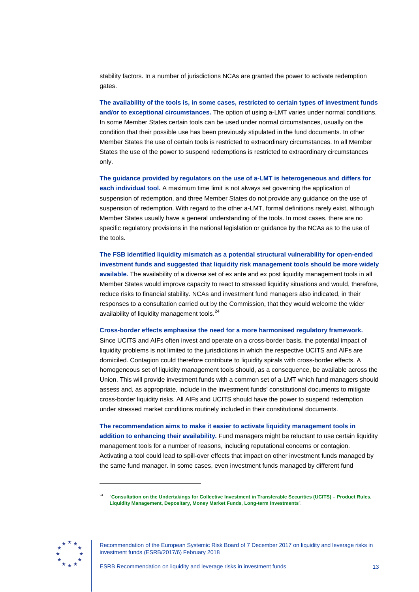stability factors. In a number of jurisdictions NCAs are granted the power to activate redemption gates.

**The availability of the tools is, in some cases, restricted to certain types of investment funds and/or to exceptional circumstances.** The option of using a-LMT varies under normal conditions. In some Member States certain tools can be used under normal circumstances, usually on the condition that their possible use has been previously stipulated in the fund documents. In other Member States the use of certain tools is restricted to extraordinary circumstances. In all Member States the use of the power to suspend redemptions is restricted to extraordinary circumstances only.

**The guidance provided by regulators on the use of a-LMT is heterogeneous and differs for each individual tool.** A maximum time limit is not always set governing the application of suspension of redemption, and three Member States do not provide any guidance on the use of suspension of redemption. With regard to the other a-LMT, formal definitions rarely exist, although Member States usually have a general understanding of the tools. In most cases, there are no specific regulatory provisions in the national legislation or guidance by the NCAs as to the use of the tools.

**The FSB identified liquidity mismatch as a potential structural vulnerability for open-ended investment funds and suggested that liquidity risk management tools should be more widely available.** The availability of a diverse set of ex ante and ex post liquidity management tools in all Member States would improve capacity to react to stressed liquidity situations and would, therefore, reduce risks to financial stability. NCAs and investment fund managers also indicated, in their responses to a consultation carried out by the Commission, that they would welcome the wider availability of liquidity management tools.<sup>[24](#page-13-0)</sup>

**Cross-border effects emphasise the need for a more harmonised regulatory framework.**

Since UCITS and AIFs often invest and operate on a cross-border basis, the potential impact of liquidity problems is not limited to the jurisdictions in which the respective UCITS and AIFs are domiciled. Contagion could therefore contribute to liquidity spirals with cross-border effects. A homogeneous set of liquidity management tools should, as a consequence, be available across the Union. This will provide investment funds with a common set of a-LMT which fund managers should assess and, as appropriate, include in the investment funds' constitutional documents to mitigate cross-border liquidity risks. All AIFs and UCITS should have the power to suspend redemption under stressed market conditions routinely included in their constitutional documents.

**The recommendation aims to make it easier to activate liquidity management tools in addition to enhancing their availability.** Fund managers might be reluctant to use certain liquidity management tools for a number of reasons, including reputational concerns or contagion. Activating a tool could lead to spill-over effects that impact on other investment funds managed by the same fund manager. In some cases, even investment funds managed by different fund

<sup>24</sup> "**[Consultation on the Undertakings for Collective Investment in Transferable Securities \(UCITS\)](http://ec.europa.eu/finance/consultations/2012/ucits/contributions_en.htm) – Product Rules, [Liquidity Management, Depositary, Money Market Funds, Long-term Investments](http://ec.europa.eu/finance/consultations/2012/ucits/contributions_en.htm)**".

<span id="page-13-0"></span>

Recommendation of the European Systemic Risk Board of 7 December 2017 on liquidity and leverage risks in investment funds (ESRB/2017/6) February 2018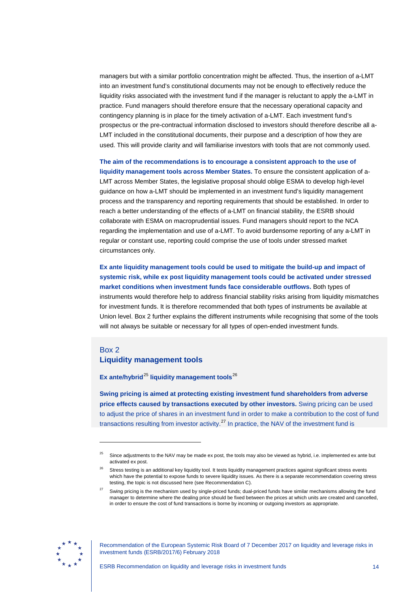managers but with a similar portfolio concentration might be affected. Thus, the insertion of a-LMT into an investment fund's constitutional documents may not be enough to effectively reduce the liquidity risks associated with the investment fund if the manager is reluctant to apply the a-LMT in practice. Fund managers should therefore ensure that the necessary operational capacity and contingency planning is in place for the timely activation of a-LMT. Each investment fund's prospectus or the pre-contractual information disclosed to investors should therefore describe all a-LMT included in the constitutional documents, their purpose and a description of how they are used. This will provide clarity and will familiarise investors with tools that are not commonly used.

**The aim of the recommendations is to encourage a consistent approach to the use of liquidity management tools across Member States.** To ensure the consistent application of a-LMT across Member States, the legislative proposal should oblige ESMA to develop high-level guidance on how a-LMT should be implemented in an investment fund's liquidity management process and the transparency and reporting requirements that should be established. In order to reach a better understanding of the effects of a-LMT on financial stability, the ESRB should collaborate with ESMA on macroprudential issues. Fund managers should report to the NCA regarding the implementation and use of a-LMT. To avoid burdensome reporting of any a-LMT in regular or constant use, reporting could comprise the use of tools under stressed market circumstances only.

**Ex ante liquidity management tools could be used to mitigate the build-up and impact of systemic risk, while ex post liquidity management tools could be activated under stressed market conditions when investment funds face considerable outflows.** Both types of instruments would therefore help to address financial stability risks arising from liquidity mismatches for investment funds. It is therefore recommended that both types of instruments be available at Union level. Box 2 further explains the different instruments while recognising that some of the tools will not always be suitable or necessary for all types of open-ended investment funds.

### Box 2 **Liquidity management tools**

**Ex ante/hybrid**<sup>[25](#page-14-0)</sup> liquidity management tools<sup>[26](#page-14-1)</sup>

**Swing pricing is aimed at protecting existing investment fund shareholders from adverse price effects caused by transactions executed by other investors.** Swing pricing can be used to adjust the price of shares in an investment fund in order to make a contribution to the cost of fund transactions resulting from investor activity.<sup>[27](#page-14-2)</sup> In practice, the NAV of the investment fund is

<span id="page-14-2"></span><span id="page-14-1"></span>

-

<span id="page-14-0"></span>Since adjustments to the NAV may be made ex post, the tools may also be viewed as hybrid, i.e. implemented ex ante but activated ex post.

<sup>26</sup> Stress testing is an additional key liquidity tool. It tests liquidity management practices against significant stress events which have the potential to expose funds to severe liquidity issues. As there is a separate recommendation covering stress testing, the topic is not discussed here (see Recommendation C).

Swing pricing is the mechanism used by single-priced funds; dual-priced funds have similar mechanisms allowing the fund manager to determine where the dealing price should be fixed between the prices at which units are created and cancelled, in order to ensure the cost of fund transactions is borne by incoming or outgoing investors as appropriate.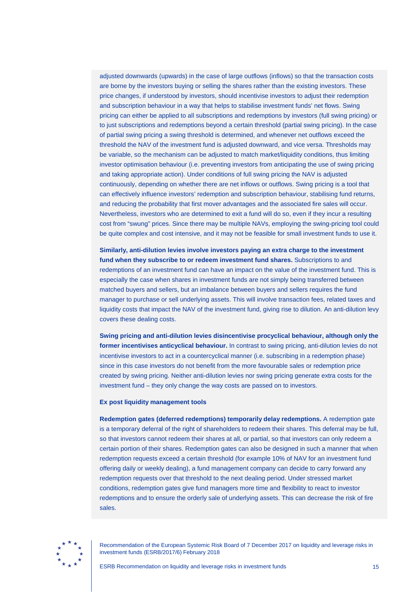adjusted downwards (upwards) in the case of large outflows (inflows) so that the transaction costs are borne by the investors buying or selling the shares rather than the existing investors. These price changes, if understood by investors, should incentivise investors to adjust their redemption and subscription behaviour in a way that helps to stabilise investment funds' net flows. Swing pricing can either be applied to all subscriptions and redemptions by investors (full swing pricing) or to just subscriptions and redemptions beyond a certain threshold (partial swing pricing). In the case of partial swing pricing a swing threshold is determined, and whenever net outflows exceed the threshold the NAV of the investment fund is adjusted downward, and vice versa. Thresholds may be variable, so the mechanism can be adjusted to match market/liquidity conditions, thus limiting investor optimisation behaviour (i.e. preventing investors from anticipating the use of swing pricing and taking appropriate action). Under conditions of full swing pricing the NAV is adjusted continuously, depending on whether there are net inflows or outflows. Swing pricing is a tool that can effectively influence investors' redemption and subscription behaviour, stabilising fund returns, and reducing the probability that first mover advantages and the associated fire sales will occur. Nevertheless, investors who are determined to exit a fund will do so, even if they incur a resulting cost from "swung" prices. Since there may be multiple NAVs, employing the swing-pricing tool could be quite complex and cost intensive, and it may not be feasible for small investment funds to use it.

**Similarly, anti-dilution levies involve investors paying an extra charge to the investment fund when they subscribe to or redeem investment fund shares.** Subscriptions to and redemptions of an investment fund can have an impact on the value of the investment fund. This is especially the case when shares in investment funds are not simply being transferred between matched buyers and sellers, but an imbalance between buyers and sellers requires the fund manager to purchase or sell underlying assets. This will involve transaction fees, related taxes and liquidity costs that impact the NAV of the investment fund, giving rise to dilution. An anti-dilution levy covers these dealing costs.

**Swing pricing and anti-dilution levies disincentivise procyclical behaviour, although only the former incentivises anticyclical behaviour.** In contrast to swing pricing, anti-dilution levies do not incentivise investors to act in a countercyclical manner (i.e. subscribing in a redemption phase) since in this case investors do not benefit from the more favourable sales or redemption price created by swing pricing. Neither anti-dilution levies nor swing pricing generate extra costs for the investment fund – they only change the way costs are passed on to investors.

#### **Ex post liquidity management tools**

**Redemption gates (deferred redemptions) temporarily delay redemptions.** A redemption gate is a temporary deferral of the right of shareholders to redeem their shares. This deferral may be full, so that investors cannot redeem their shares at all, or partial, so that investors can only redeem a certain portion of their shares. Redemption gates can also be designed in such a manner that when redemption requests exceed a certain threshold (for example 10% of NAV for an investment fund offering daily or weekly dealing), a fund management company can decide to carry forward any redemption requests over that threshold to the next dealing period. Under stressed market conditions, redemption gates give fund managers more time and flexibility to react to investor redemptions and to ensure the orderly sale of underlying assets. This can decrease the risk of fire sales.

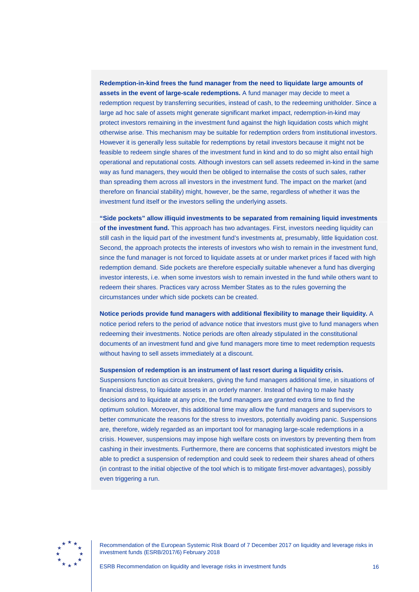## **Redemption-in-kind frees the fund manager from the need to liquidate large amounts of assets in the event of large-scale redemptions.** A fund manager may decide to meet a redemption request by transferring securities, instead of cash, to the redeeming unitholder. Since a large ad hoc sale of assets might generate significant market impact, redemption-in-kind may protect investors remaining in the investment fund against the high liquidation costs which might otherwise arise. This mechanism may be suitable for redemption orders from institutional investors. However it is generally less suitable for redemptions by retail investors because it might not be feasible to redeem single shares of the investment fund in kind and to do so might also entail high operational and reputational costs. Although investors can sell assets redeemed in-kind in the same way as fund managers, they would then be obliged to internalise the costs of such sales, rather than spreading them across all investors in the investment fund. The impact on the market (and therefore on financial stability) might, however, be the same, regardless of whether it was the investment fund itself or the investors selling the underlying assets.

**"Side pockets" allow illiquid investments to be separated from remaining liquid investments of the investment fund.** This approach has two advantages. First, investors needing liquidity can still cash in the liquid part of the investment fund's investments at, presumably, little liquidation cost. Second, the approach protects the interests of investors who wish to remain in the investment fund, since the fund manager is not forced to liquidate assets at or under market prices if faced with high redemption demand. Side pockets are therefore especially suitable whenever a fund has diverging investor interests, i.e. when some investors wish to remain invested in the fund while others want to redeem their shares. Practices vary across Member States as to the rules governing the circumstances under which side pockets can be created.

**Notice periods provide fund managers with additional flexibility to manage their liquidity.** A notice period refers to the period of advance notice that investors must give to fund managers when redeeming their investments. Notice periods are often already stipulated in the constitutional documents of an investment fund and give fund managers more time to meet redemption requests without having to sell assets immediately at a discount.

#### **Suspension of redemption is an instrument of last resort during a liquidity crisis.**

Suspensions function as circuit breakers, giving the fund managers additional time, in situations of financial distress, to liquidate assets in an orderly manner. Instead of having to make hasty decisions and to liquidate at any price, the fund managers are granted extra time to find the optimum solution. Moreover, this additional time may allow the fund managers and supervisors to better communicate the reasons for the stress to investors, potentially avoiding panic. Suspensions are, therefore, widely regarded as an important tool for managing large-scale redemptions in a crisis. However, suspensions may impose high welfare costs on investors by preventing them from cashing in their investments. Furthermore, there are concerns that sophisticated investors might be able to predict a suspension of redemption and could seek to redeem their shares ahead of others (in contrast to the initial objective of the tool which is to mitigate first-mover advantages), possibly even triggering a run.

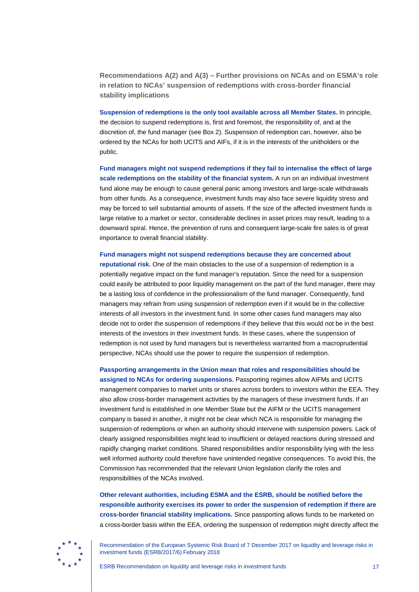<span id="page-17-0"></span>**Recommendations A(2) and A(3) – Further provisions on NCAs and on ESMA's role in relation to NCAs' suspension of redemptions with cross-border financial stability implications**

**Suspension of redemptions is the only tool available across all Member States.** In principle, the decision to suspend redemptions is, first and foremost, the responsibility of, and at the discretion of, the fund manager (see Box 2). Suspension of redemption can, however, also be ordered by the NCAs for both UCITS and AIFs, if it is in the interests of the unitholders or the public.

**Fund managers might not suspend redemptions if they fail to internalise the effect of large scale redemptions on the stability of the financial system.** A run on an individual investment fund alone may be enough to cause general panic among investors and large-scale withdrawals from other funds. As a consequence, investment funds may also face severe liquidity stress and may be forced to sell substantial amounts of assets. If the size of the affected investment funds is large relative to a market or sector, considerable declines in asset prices may result, leading to a downward spiral. Hence, the prevention of runs and consequent large-scale fire sales is of great importance to overall financial stability.

**Fund managers might not suspend redemptions because they are concerned about reputational risk.** One of the main obstacles to the use of a suspension of redemption is a potentially negative impact on the fund manager's reputation. Since the need for a suspension could easily be attributed to poor liquidity management on the part of the fund manager, there may be a lasting loss of confidence in the professionalism of the fund manager. Consequently, fund managers may refrain from using suspension of redemption even if it would be in the collective interests of all investors in the investment fund. In some other cases fund managers may also decide not to order the suspension of redemptions if they believe that this would not be in the best interests of the investors in their investment funds. In these cases, where the suspension of redemption is not used by fund managers but is nevertheless warranted from a macroprudential perspective, NCAs should use the power to require the suspension of redemption.

**Passporting arrangements in the Union mean that roles and responsibilities should be** 

**assigned to NCAs for ordering suspensions.** Passporting regimes allow AIFMs and UCITS management companies to market units or shares across borders to investors within the EEA. They also allow cross-border management activities by the managers of these investment funds. If an investment fund is established in one Member State but the AIFM or the UCITS management company is based in another, it might not be clear which NCA is responsible for managing the suspension of redemptions or when an authority should intervene with suspension powers. Lack of clearly assigned responsibilities might lead to insufficient or delayed reactions during stressed and rapidly changing market conditions. Shared responsibilities and/or responsibility lying with the less well informed authority could therefore have unintended negative consequences. To avoid this, the Commission has recommended that the relevant Union legislation clarify the roles and responsibilities of the NCAs involved.

**Other relevant authorities, including ESMA and the ESRB, should be notified before the responsible authority exercises its power to order the suspension of redemption if there are cross-border financial stability implications.** Since passporting allows funds to be marketed on a cross-border basis within the EEA, ordering the suspension of redemption might directly affect the

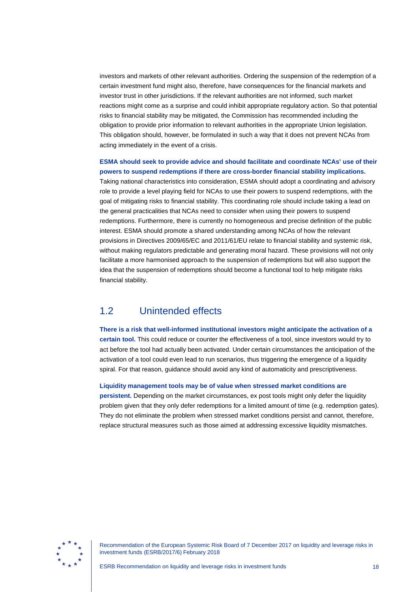investors and markets of other relevant authorities. Ordering the suspension of the redemption of a certain investment fund might also, therefore, have consequences for the financial markets and investor trust in other jurisdictions. If the relevant authorities are not informed, such market reactions might come as a surprise and could inhibit appropriate regulatory action. So that potential risks to financial stability may be mitigated, the Commission has recommended including the obligation to provide prior information to relevant authorities in the appropriate Union legislation. This obligation should, however, be formulated in such a way that it does not prevent NCAs from acting immediately in the event of a crisis.

**ESMA should seek to provide advice and should facilitate and coordinate NCAs' use of their powers to suspend redemptions if there are cross-border financial stability implications.**

Taking national characteristics into consideration, ESMA should adopt a coordinating and advisory role to provide a level playing field for NCAs to use their powers to suspend redemptions, with the goal of mitigating risks to financial stability. This coordinating role should include taking a lead on the general practicalities that NCAs need to consider when using their powers to suspend redemptions. Furthermore, there is currently no homogeneous and precise definition of the public interest. ESMA should promote a shared understanding among NCAs of how the relevant provisions in Directives 2009/65/EC and 2011/61/EU relate to financial stability and systemic risk, without making regulators predictable and generating moral hazard. These provisions will not only facilitate a more harmonised approach to the suspension of redemptions but will also support the idea that the suspension of redemptions should become a functional tool to help mitigate risks financial stability.

## <span id="page-18-0"></span>1.2 Unintended effects

**There is a risk that well-informed institutional investors might anticipate the activation of a certain tool.** This could reduce or counter the effectiveness of a tool, since investors would try to act before the tool had actually been activated. Under certain circumstances the anticipation of the activation of a tool could even lead to run scenarios, thus triggering the emergence of a liquidity spiral. For that reason, guidance should avoid any kind of automaticity and prescriptiveness.

**Liquidity management tools may be of value when stressed market conditions are** 

**persistent.** Depending on the market circumstances, ex post tools might only defer the liquidity problem given that they only defer redemptions for a limited amount of time (e.g. redemption gates). They do not eliminate the problem when stressed market conditions persist and cannot, therefore, replace structural measures such as those aimed at addressing excessive liquidity mismatches.

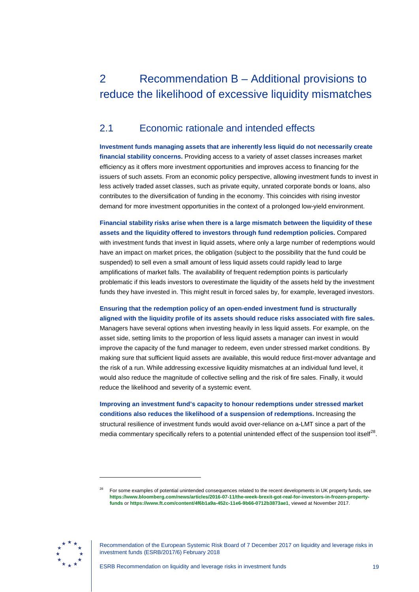# <span id="page-19-0"></span>2 Recommendation B – Additional provisions to reduce the likelihood of excessive liquidity mismatches

# <span id="page-19-1"></span>2.1 Economic rationale and intended effects

**Investment funds managing assets that are inherently less liquid do not necessarily create financial stability concerns.** Providing access to a variety of asset classes increases market efficiency as it offers more investment opportunities and improves access to financing for the issuers of such assets. From an economic policy perspective, allowing investment funds to invest in less actively traded asset classes, such as private equity, unrated corporate bonds or loans, also contributes to the diversification of funding in the economy. This coincides with rising investor demand for more investment opportunities in the context of a prolonged low-yield environment.

**Financial stability risks arise when there is a large mismatch between the liquidity of these assets and the liquidity offered to investors through fund redemption policies.** Compared with investment funds that invest in liquid assets, where only a large number of redemptions would have an impact on market prices, the obligation (subject to the possibility that the fund could be suspended) to sell even a small amount of less liquid assets could rapidly lead to large amplifications of market falls. The availability of frequent redemption points is particularly problematic if this leads investors to overestimate the liquidity of the assets held by the investment funds they have invested in. This might result in forced sales by, for example, leveraged investors.

### **Ensuring that the redemption policy of an open-ended investment fund is structurally aligned with the liquidity profile of its assets should reduce risks associated with fire sales.**

Managers have several options when investing heavily in less liquid assets. For example, on the asset side, setting limits to the proportion of less liquid assets a manager can invest in would improve the capacity of the fund manager to redeem, even under stressed market conditions. By making sure that sufficient liquid assets are available, this would reduce first-mover advantage and the risk of a run. While addressing excessive liquidity mismatches at an individual fund level, it would also reduce the magnitude of collective selling and the risk of fire sales. Finally, it would reduce the likelihood and severity of a systemic event.

**Improving an investment fund's capacity to honour redemptions under stressed market conditions also reduces the likelihood of a suspension of redemptions.** Increasing the structural resilience of investment funds would avoid over-reliance on a-LMT since a part of the media commentary specifically refers to a potential unintended effect of the suspension tool itself<sup>28</sup>.

<span id="page-19-2"></span>

<sup>28</sup> For some examples of potential unintended consequences related to the recent developments in UK property funds, see **[https://www.bloomberg.com/news/articles/2016-07-11/the-week-brexit-got-real-for-investors-in-frozen-property](https://www.bloomberg.com/news/articles/2016-07-11/the-week-brexit-got-real-for-investors-in-frozen-property-funds)[funds](https://www.bloomberg.com/news/articles/2016-07-11/the-week-brexit-got-real-for-investors-in-frozen-property-funds)** or **<https://www.ft.com/content/4f6b1a9a-452c-11e6-9b66-0712b3873ae1>**, viewed at November 2017.

Recommendation of the European Systemic Risk Board of 7 December 2017 on liquidity and leverage risks in investment funds (ESRB/2017/6) February 2018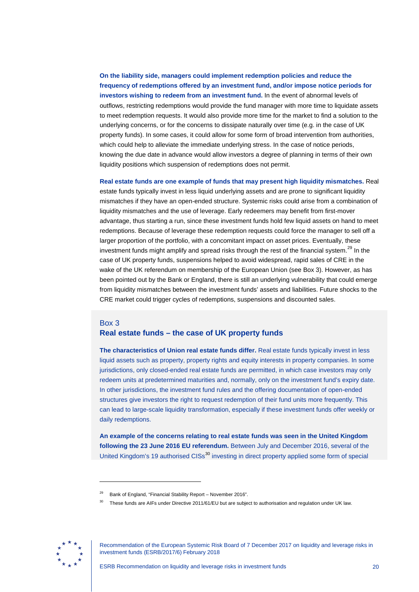**On the liability side, managers could implement redemption policies and reduce the frequency of redemptions offered by an investment fund, and/or impose notice periods for investors wishing to redeem from an investment fund.** In the event of abnormal levels of outflows, restricting redemptions would provide the fund manager with more time to liquidate assets to meet redemption requests. It would also provide more time for the market to find a solution to the underlying concerns, or for the concerns to dissipate naturally over time (e.g. in the case of UK property funds). In some cases, it could allow for some form of broad intervention from authorities, which could help to alleviate the immediate underlying stress. In the case of notice periods, knowing the due date in advance would allow investors a degree of planning in terms of their own liquidity positions which suspension of redemptions does not permit.

**Real estate funds are one example of funds that may present high liquidity mismatches.** Real estate funds typically invest in less liquid underlying assets and are prone to significant liquidity mismatches if they have an open-ended structure. Systemic risks could arise from a combination of liquidity mismatches and the use of leverage. Early redeemers may benefit from first-mover advantage, thus starting a run, since these investment funds hold few liquid assets on hand to meet redemptions. Because of leverage these redemption requests could force the manager to sell off a larger proportion of the portfolio, with a concomitant impact on asset prices. Eventually, these investment funds might amplify and spread risks through the rest of the financial system.<sup>[29](#page-20-0)</sup> In the case of UK property funds, suspensions helped to avoid widespread, rapid sales of CRE in the wake of the UK referendum on membership of the European Union (see Box 3). However, as has been pointed out by the Bank or England, there is still an underlying vulnerability that could emerge from liquidity mismatches between the investment funds' assets and liabilities. Future shocks to the CRE market could trigger cycles of redemptions, suspensions and discounted sales.

### Box 3 **Real estate funds – the case of UK property funds**

**The characteristics of Union real estate funds differ.** Real estate funds typically invest in less liquid assets such as property, property rights and equity interests in property companies. In some jurisdictions, only closed-ended real estate funds are permitted, in which case investors may only redeem units at predetermined maturities and, normally, only on the investment fund's expiry date. In other jurisdictions, the investment fund rules and the offering documentation of open-ended structures give investors the right to request redemption of their fund units more frequently. This can lead to large-scale liquidity transformation, especially if these investment funds offer weekly or daily redemptions.

**An example of the concerns relating to real estate funds was seen in the United Kingdom following the 23 June 2016 EU referendum.** Between July and December 2016, several of the United Kingdom's 19 authorised CISs<sup>[30](#page-20-1)</sup> investing in direct property applied some form of special

<span id="page-20-1"></span><span id="page-20-0"></span>

Bank of England, "Financial Stability Report – November 2016".

These funds are AIFs under Directive 2011/61/EU but are subject to authorisation and regulation under UK law.

Recommendation of the European Systemic Risk Board of 7 December 2017 on liquidity and leverage risks in investment funds (ESRB/2017/6) February 2018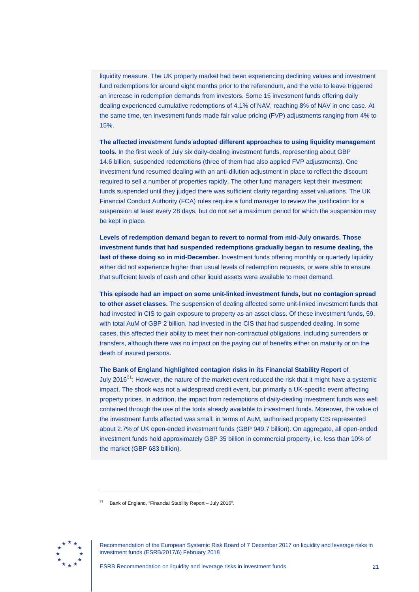liquidity measure. The UK property market had been experiencing declining values and investment fund redemptions for around eight months prior to the referendum, and the vote to leave triggered an increase in redemption demands from investors. Some 15 investment funds offering daily dealing experienced cumulative redemptions of 4.1% of NAV, reaching 8% of NAV in one case. At the same time, ten investment funds made fair value pricing (FVP) adjustments ranging from 4% to 15%.

**The affected investment funds adopted different approaches to using liquidity management tools.** In the first week of July six daily-dealing investment funds, representing about GBP 14.6 billion, suspended redemptions (three of them had also applied FVP adjustments). One investment fund resumed dealing with an anti-dilution adjustment in place to reflect the discount required to sell a number of properties rapidly. The other fund managers kept their investment funds suspended until they judged there was sufficient clarity regarding asset valuations. The UK Financial Conduct Authority (FCA) rules require a fund manager to review the justification for a suspension at least every 28 days, but do not set a maximum period for which the suspension may be kept in place.

**Levels of redemption demand began to revert to normal from mid-July onwards. Those investment funds that had suspended redemptions gradually began to resume dealing, the**  last of these doing so in mid-December. Investment funds offering monthly or quarterly liquidity either did not experience higher than usual levels of redemption requests, or were able to ensure that sufficient levels of cash and other liquid assets were available to meet demand.

**This episode had an impact on some unit-linked investment funds, but no contagion spread to other asset classes.** The suspension of dealing affected some unit-linked investment funds that had invested in CIS to gain exposure to property as an asset class. Of these investment funds, 59, with total AuM of GBP 2 billion, had invested in the CIS that had suspended dealing. In some cases, this affected their ability to meet their non-contractual obligations, including surrenders or transfers, although there was no impact on the paying out of benefits either on maturity or on the death of insured persons.

**The Bank of England highlighted contagion risks in its Financial Stability Report** of July 2016<sup>[31](#page-21-0)</sup>: However, the nature of the market event reduced the risk that it might have a systemic impact. The shock was not a widespread credit event, but primarily a UK-specific event affecting property prices. In addition, the impact from redemptions of daily-dealing investment funds was well contained through the use of the tools already available to investment funds. Moreover, the value of the investment funds affected was small: in terms of AuM, authorised property CIS represented about 2.7% of UK open-ended investment funds (GBP 949.7 billion). On aggregate, all open-ended investment funds hold approximately GBP 35 billion in commercial property, i.e. less than 10% of the market (GBP 683 billion).

<span id="page-21-0"></span>

<sup>31</sup> Bank of England, "Financial Stability Report – July 2016".

Recommendation of the European Systemic Risk Board of 7 December 2017 on liquidity and leverage risks in investment funds (ESRB/2017/6) February 2018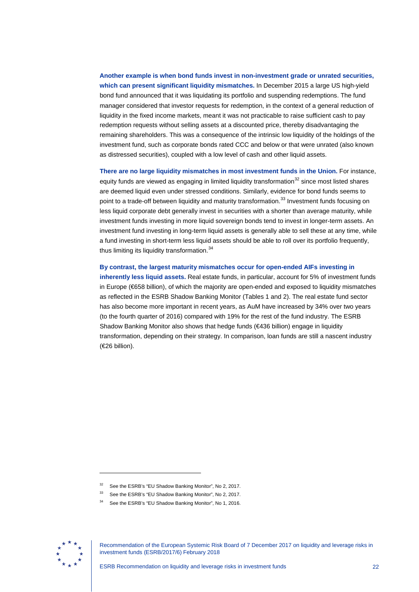**Another example is when bond funds invest in non-investment grade or unrated securities, which can present significant liquidity mismatches.** In December 2015 a large US high-yield bond fund announced that it was liquidating its portfolio and suspending redemptions. The fund manager considered that investor requests for redemption, in the context of a general reduction of liquidity in the fixed income markets, meant it was not practicable to raise sufficient cash to pay redemption requests without selling assets at a discounted price, thereby disadvantaging the remaining shareholders. This was a consequence of the intrinsic low liquidity of the holdings of the investment fund, such as corporate bonds rated CCC and below or that were unrated (also known as distressed securities), coupled with a low level of cash and other liquid assets.

**There are no large liquidity mismatches in most investment funds in the Union.** For instance, equity funds are viewed as engaging in limited liquidity transformation $32$  since most listed shares are deemed liquid even under stressed conditions. Similarly, evidence for bond funds seems to point to a trade-off between liquidity and maturity transformation.<sup>[33](#page-22-1)</sup> Investment funds focusing on less liquid corporate debt generally invest in securities with a shorter than average maturity, while investment funds investing in more liquid sovereign bonds tend to invest in longer-term assets. An investment fund investing in long-term liquid assets is generally able to sell these at any time, while a fund investing in short-term less liquid assets should be able to roll over its portfolio frequently, thus limiting its liquidity transformation.<sup>[34](#page-22-2)</sup>

**By contrast, the largest maturity mismatches occur for open-ended AIFs investing in inherently less liquid assets.** Real estate funds, in particular, account for 5% of investment funds in Europe (€658 billion), of which the majority are open-ended and exposed to liquidity mismatches as reflected in the ESRB Shadow Banking Monitor (Tables 1 and 2). The real estate fund sector has also become more important in recent years, as AuM have increased by 34% over two years (to the fourth quarter of 2016) compared with 19% for the rest of the fund industry. The ESRB Shadow Banking Monitor also shows that hedge funds (€436 billion) engage in liquidity transformation, depending on their strategy. In comparison, loan funds are still a nascent industry (€26 billion).

<span id="page-22-2"></span><span id="page-22-1"></span><span id="page-22-0"></span>

See the ESRB's "EU Shadow Banking Monitor", No 2, 2017.

See the ESRB's "EU Shadow Banking Monitor", No 2, 2017.

See the ESRB's "EU Shadow Banking Monitor", No 1, 2016.

Recommendation of the European Systemic Risk Board of 7 December 2017 on liquidity and leverage risks in investment funds (ESRB/2017/6) February 2018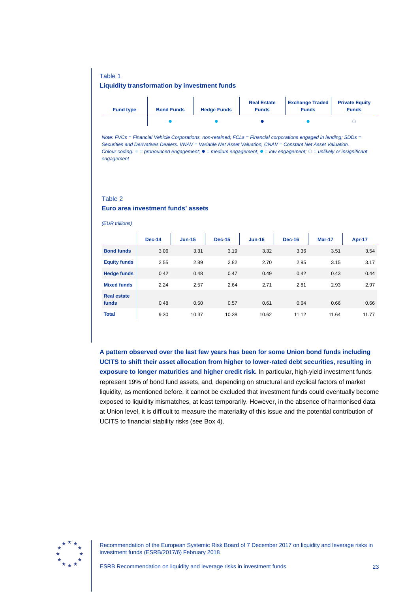#### Table 1

#### **Liquidity transformation by investment funds**

| <b>Fund type</b> | <b>Bond Funds</b> | <b>Hedge Funds</b> | <b>Real Estate</b><br><b>Funds</b> | <b>Exchange Traded</b><br><b>Funds</b> | <b>Private Equity</b><br><b>Funds</b> |
|------------------|-------------------|--------------------|------------------------------------|----------------------------------------|---------------------------------------|
|                  |                   |                    |                                    |                                        |                                       |

*Note: FVCs = Financial Vehicle Corporations, non-retained; FCLs = Financial corporations engaged in lending; SDDs = Securities and Derivatives Dealers. VNAV = Variable Net Asset Valuation, CNAV = Constant Net Asset Valuation. Colour coding: = pronounced engagement; = medium engagement; = low engagement; = unlikely or insignificant engagement*

### Table 2

#### **Euro area investment funds' assets**

*(EUR trillions)*

|                     | <b>Dec-14</b> | $Jun-15$ | <b>Dec-15</b> | $Jun-16$ | <b>Dec-16</b> | Mar-17 | Apr-17 |
|---------------------|---------------|----------|---------------|----------|---------------|--------|--------|
| <b>Bond funds</b>   | 3.06          | 3.31     | 3.19          | 3.32     | 3.36          | 3.51   | 3.54   |
| <b>Equity funds</b> | 2.55          | 2.89     | 2.82          | 2.70     | 2.95          | 3.15   | 3.17   |
| <b>Hedge funds</b>  | 0.42          | 0.48     | 0.47          | 0.49     | 0.42          | 0.43   | 0.44   |
| <b>Mixed funds</b>  | 2.24          | 2.57     | 2.64          | 2.71     | 2.81          | 2.93   | 2.97   |
| <b>Real estate</b>  |               |          |               |          |               |        |        |
| funds               | 0.48          | 0.50     | 0.57          | 0.61     | 0.64          | 0.66   | 0.66   |
| <b>Total</b>        | 9.30          | 10.37    | 10.38         | 10.62    | 11.12         | 11.64  | 11.77  |

**A pattern observed over the last few years has been for some Union bond funds including UCITS to shift their asset allocation from higher to lower-rated debt securities, resulting in exposure to longer maturities and higher credit risk.** In particular, high-yield investment funds represent 19% of bond fund assets, and, depending on structural and cyclical factors of market liquidity, as mentioned before, it cannot be excluded that investment funds could eventually become exposed to liquidity mismatches, at least temporarily. However, in the absence of harmonised data at Union level, it is difficult to measure the materiality of this issue and the potential contribution of UCITS to financial stability risks (see Box 4).

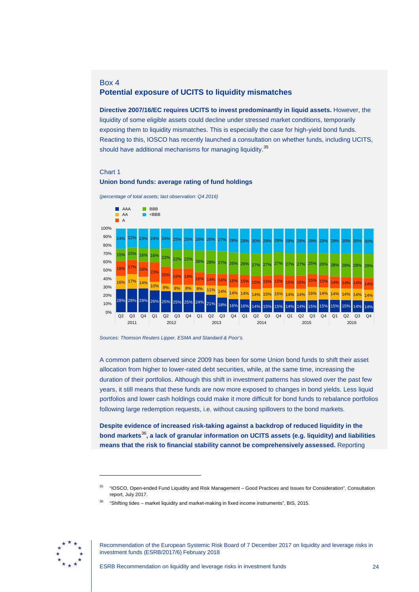### Box 4 **Potential exposure of UCITS to liquidity mismatches**

**Directive 2007/16/EC requires UCITS to invest predominantly in liquid assets.** However, the liquidity of some eligible assets could decline under stressed market conditions, temporarily exposing them to liquidity mismatches. This is especially the case for high-yield bond funds. Reacting to this, IOSCO has recently launched a consultation on whether funds, including UCITS, should have additional mechanisms for managing liquidity.<sup>[35](#page-24-0)</sup>

#### Chart 1





**Union bond funds: average rating of fund holdings**

A common pattern observed since 2009 has been for some Union bond funds to shift their asset allocation from higher to lower-rated debt securities, while, at the same time, increasing the duration of their portfolios. Although this shift in investment patterns has slowed over the past few years, it still means that these funds are now more exposed to changes in bond yields. Less liquid portfolios and lower cash holdings could make it more difficult for bond funds to rebalance portfolios following large redemption requests, i.e. without causing spillovers to the bond markets.

**Despite evidence of increased risk-taking against a backdrop of reduced liquidity in the bond markets**[36](#page-24-1)**, a lack of granular information on UCITS assets (e.g. liquidity) and liabilities means that the risk to financial stability cannot be comprehensively assessed.** Reporting

<span id="page-24-1"></span><span id="page-24-0"></span>

*Sources: Thomson Reuters Lipper, ESMA and Standard & Poor's.*

<sup>35</sup> "IOSCO, Open-ended Fund Liquidity and Risk Management – Good Practices and Issues for Consideration", Consultation report, July 2017.

<sup>36</sup> "Shifting tides – market liquidity and market-making in fixed income instruments", BIS, 2015.

Recommendation of the European Systemic Risk Board of 7 December 2017 on liquidity and leverage risks in investment funds (ESRB/2017/6) February 2018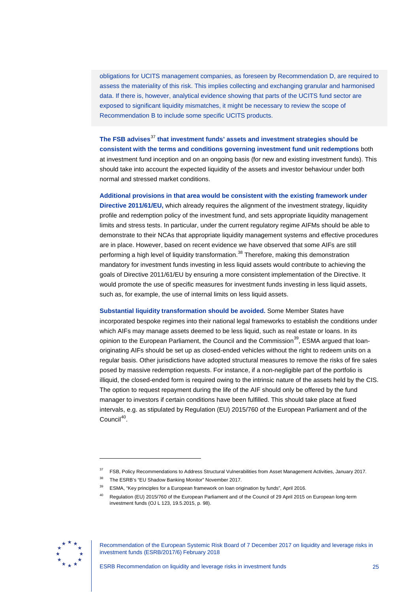obligations for UCITS management companies, as foreseen by Recommendation D, are required to assess the materiality of this risk. This implies collecting and exchanging granular and harmonised data. If there is, however, analytical evidence showing that parts of the UCITS fund sector are exposed to significant liquidity mismatches, it might be necessary to review the scope of Recommendation B to include some specific UCITS products.

**The FSB advises**[37](#page-25-0) **that investment funds' assets and investment strategies should be consistent with the terms and conditions governing investment fund unit redemptions** both at investment fund inception and on an ongoing basis (for new and existing investment funds). This should take into account the expected liquidity of the assets and investor behaviour under both normal and stressed market conditions.

**Additional provisions in that area would be consistent with the existing framework under Directive 2011/61/EU,** which already requires the alignment of the investment strategy, liquidity profile and redemption policy of the investment fund, and sets appropriate liquidity management limits and stress tests. In particular, under the current regulatory regime AIFMs should be able to demonstrate to their NCAs that appropriate liquidity management systems and effective procedures are in place. However, based on recent evidence we have observed that some AIFs are still performing a high level of liquidity transformation.<sup>[38](#page-25-1)</sup> Therefore, making this demonstration mandatory for investment funds investing in less liquid assets would contribute to achieving the goals of Directive 2011/61/EU by ensuring a more consistent implementation of the Directive. It would promote the use of specific measures for investment funds investing in less liquid assets, such as, for example, the use of internal limits on less liquid assets.

**Substantial liquidity transformation should be avoided.** Some Member States have incorporated bespoke regimes into their national legal frameworks to establish the conditions under which AIFs may manage assets deemed to be less liquid, such as real estate or loans. In its opinion to the European Parliament, the Council and the Commission<sup>39</sup>, ESMA argued that loanoriginating AIFs should be set up as closed-ended vehicles without the right to redeem units on a regular basis. Other jurisdictions have adopted structural measures to remove the risks of fire sales posed by massive redemption requests. For instance, if a non-negligible part of the portfolio is illiquid, the closed-ended form is required owing to the intrinsic nature of the assets held by the CIS. The option to request repayment during the life of the AIF should only be offered by the fund manager to investors if certain conditions have been fulfilled. This should take place at fixed intervals, e.g. as stipulated by Regulation (EU) 2015/760 of the European Parliament and of the Council<sup>40</sup>.

<span id="page-25-3"></span><span id="page-25-2"></span><span id="page-25-1"></span><span id="page-25-0"></span>

<sup>37</sup> FSB, Policy Recommendations to Address Structural Vulnerabilities from Asset Management Activities, January 2017.

The ESRB's "EU Shadow Banking Monitor" November 2017.

<sup>39</sup> ESMA, "Key principles for a European framework on loan origination by funds", April 2016.

<sup>40</sup> Regulation (EU) 2015/760 of the European Parliament and of the Council of 29 April 2015 on European long-term investment funds (OJ L 123, 19.5.2015, p. 98).

Recommendation of the European Systemic Risk Board of 7 December 2017 on liquidity and leverage risks in investment funds (ESRB/2017/6) February 2018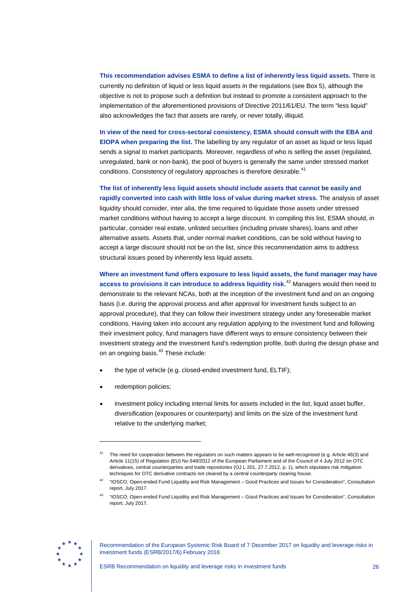**This recommendation advises ESMA to define a list of inherently less liquid assets.** There is currently no definition of liquid or less liquid assets in the regulations (see Box 5), although the objective is not to propose such a definition but instead to promote a consistent approach to the implementation of the aforementioned provisions of Directive 2011/61/EU. The term "less liquid" also acknowledges the fact that assets are rarely, or never totally, illiquid.

**In view of the need for cross-sectoral consistency, ESMA should consult with the EBA and EIOPA when preparing the list.** The labelling by any regulator of an asset as liquid or less liquid sends a signal to market participants. Moreover, regardless of who is selling the asset (regulated, unregulated, bank or non-bank), the pool of buyers is generally the same under stressed market conditions. Consistency of regulatory approaches is therefore desirable.<sup>[41](#page-26-0)</sup>

**The list of inherently less liquid assets should include assets that cannot be easily and rapidly converted into cash with little loss of value during market stress.** The analysis of asset liquidity should consider, inter alia, the time required to liquidate those assets under stressed market conditions without having to accept a large discount. In compiling this list, ESMA should, in particular, consider real estate, unlisted securities (including private shares), loans and other alternative assets. Assets that, under normal market conditions, can be sold without having to accept a large discount should not be on the list, since this recommendation aims to address structural issues posed by inherently less liquid assets.

**Where an investment fund offers exposure to less liquid assets, the fund manager may have access to provisions it can introduce to address liquidity risk.**[42](#page-26-1) Managers would then need to demonstrate to the relevant NCAs, both at the inception of the investment fund and on an ongoing basis (i.e. during the approval process and after approval for investment funds subject to an approval procedure), that they can follow their investment strategy under any foreseeable market conditions. Having taken into account any regulation applying to the investment fund and following their investment policy, fund managers have different ways to ensure consistency between their investment strategy and the investment fund's redemption profile, both during the design phase and on an ongoing basis.<sup>[43](#page-26-2)</sup> These include:

- the type of vehicle (e.g. closed-ended investment fund, ELTIF);
- redemption policies;

-

• investment policy including internal limits for assets included in the list, liquid asset buffer, diversification (exposures or counterparty) and limits on the size of the investment fund relative to the underlying market;

<span id="page-26-2"></span><span id="page-26-1"></span>

Recommendation of the European Systemic Risk Board of 7 December 2017 on liquidity and leverage risks in investment funds (ESRB/2017/6) February 2018

<span id="page-26-0"></span>The need for cooperation between the regulators on such matters appears to be well-recognised (e.g. Article 46(3) and Article 11(15) of Regulation (EU) No 648/2012 of the European Parliament and of the Council of 4 July 2012 on OTC derivatives, central counterparties and trade repositories (OJ L 201, 27.7.2012, p. 1), which stipulates risk mitigation techniques for OTC derivative contracts not cleared by a central counterparty clearing house.

<sup>42</sup> "IOSCO, Open-ended Fund Liquidity and Risk Management – Good Practices and Issues for Consideration", Consultation report, July 2017.

<sup>43</sup> "IOSCO, Open-ended Fund Liquidity and Risk Management – Good Practices and Issues for Consideration", Consultation report, July 2017.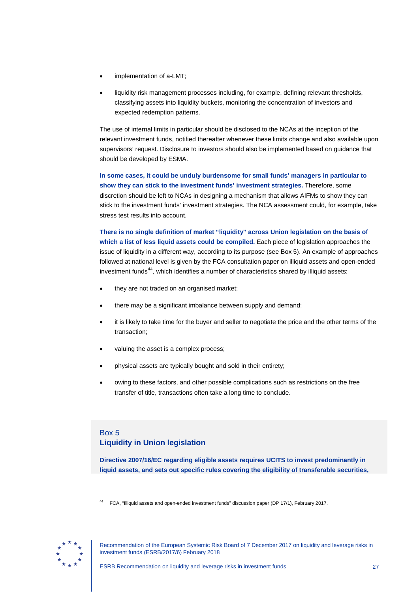- implementation of a-LMT;
- liquidity risk management processes including, for example, defining relevant thresholds, classifying assets into liquidity buckets, monitoring the concentration of investors and expected redemption patterns.

The use of internal limits in particular should be disclosed to the NCAs at the inception of the relevant investment funds, notified thereafter whenever these limits change and also available upon supervisors' request. Disclosure to investors should also be implemented based on guidance that should be developed by ESMA.

**In some cases, it could be unduly burdensome for small funds' managers in particular to show they can stick to the investment funds' investment strategies.** Therefore, some discretion should be left to NCAs in designing a mechanism that allows AIFMs to show they can stick to the investment funds' investment strategies. The NCA assessment could, for example, take stress test results into account.

**There is no single definition of market "liquidity" across Union legislation on the basis of which a list of less liquid assets could be compiled.** Each piece of legislation approaches the issue of liquidity in a different way, according to its purpose (see Box 5). An example of approaches followed at national level is given by the FCA consultation paper on illiquid assets and open-ended  $i$ nvestment funds<sup>44</sup>, which identifies a number of characteristics shared by illiquid assets:

- they are not traded on an organised market;
- there may be a significant imbalance between supply and demand;
- it is likely to take time for the buyer and seller to negotiate the price and the other terms of the transaction;
- valuing the asset is a complex process;
- physical assets are typically bought and sold in their entirety;
- owing to these factors, and other possible complications such as restrictions on the free transfer of title, transactions often take a long time to conclude.

## Box 5 **Liquidity in Union legislation**

**Directive 2007/16/EC regarding eligible assets requires UCITS to invest predominantly in liquid assets, and sets out specific rules covering the eligibility of transferable securities,** 

<span id="page-27-0"></span>

<sup>44</sup> FCA, "Illiquid assets and open-ended investment funds" discussion paper (DP 17/1), February 2017.

Recommendation of the European Systemic Risk Board of 7 December 2017 on liquidity and leverage risks in investment funds (ESRB/2017/6) February 2018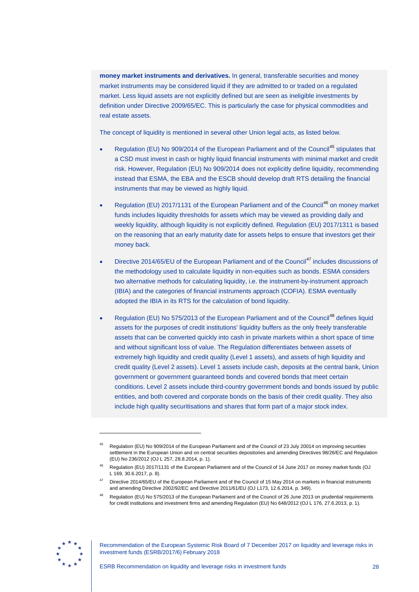**money market instruments and derivatives.** In general, transferable securities and money market instruments may be considered liquid if they are admitted to or traded on a regulated market. Less liquid assets are not explicitly defined but are seen as ineligible investments by definition under Directive 2009/65/EC. This is particularly the case for physical commodities and real estate assets.

The concept of liquidity is mentioned in several other Union legal acts, as listed below.

- Regulation (EU) No 909/2014 of the European Parliament and of the Council<sup>[45](#page-28-0)</sup> stipulates that a CSD must invest in cash or highly liquid financial instruments with minimal market and credit risk. However, Regulation (EU) No 909/2014 does not explicitly define liquidity, recommending instead that ESMA, the EBA and the ESCB should develop draft RTS detailing the financial instruments that may be viewed as highly liquid.
- Regulation (EU) 2017/1131 of the European Parliament and of the Council<sup>[46](#page-28-1)</sup> on money market funds includes liquidity thresholds for assets which may be viewed as providing daily and weekly liquidity, although liquidity is not explicitly defined. Regulation (EU) 2017/1311 is based on the reasoning that an early maturity date for assets helps to ensure that investors get their money back.
- Directive 2014/65/EU of the European Parliament and of the Council<sup>[47](#page-28-2)</sup> includes discussions of the methodology used to calculate liquidity in non-equities such as bonds. ESMA considers two alternative methods for calculating liquidity, i.e. the instrument-by-instrument approach (IBIA) and the categories of financial instruments approach (COFIA). ESMA eventually adopted the IBIA in its RTS for the calculation of bond liquidity.
- Regulation (EU) No 575/2013 of the European Parliament and of the Council<sup>[48](#page-28-3)</sup> defines liquid assets for the purposes of credit institutions' liquidity buffers as the only freely transferable assets that can be converted quickly into cash in private markets within a short space of time and without significant loss of value. The Regulation differentiates between assets of extremely high liquidity and credit quality (Level 1 assets), and assets of high liquidity and credit quality (Level 2 assets). Level 1 assets include cash, deposits at the central bank, Union government or government guaranteed bonds and covered bonds that meet certain conditions. Level 2 assets include third-country government bonds and bonds issued by public entities, and both covered and corporate bonds on the basis of their credit quality. They also include high quality securitisations and shares that form part of a major stock index.

<span id="page-28-3"></span><span id="page-28-2"></span><span id="page-28-1"></span>

<span id="page-28-0"></span><sup>45</sup> Regulation (EU) No 909/2014 of the European Parliament and of the Council of 23 July 20014 on improving securities settlement in the European Union and on central securities depositories and amending Directives 98/26/EC and Regulation (EU) No 236/2012 (OJ L 257, 28.8.2014, p. 1).

<sup>46</sup> Regulation (EU) 2017/1131 of the European Parliament and of the Council of 14 June 2017 on money market funds (OJ L 169, 30.6.2017, p. 8).

Directive 2014/65/EU of the European Parliament and of the Council of 15 May 2014 on markets in financial instruments and amending Directive 2002/92/EC and Directive 2011/61/EU (OJ L173, 12.6.2014, p. 349).

Regulation (EU) No 575/2013 of the European Parliament and of the Council of 26 June 2013 on prudential requirements for credit institutions and investment firms and amending Regulation (EU) No 648/2012 (OJ L 176, 27.6.2013, p. 1).

Recommendation of the European Systemic Risk Board of 7 December 2017 on liquidity and leverage risks in investment funds (ESRB/2017/6) February 2018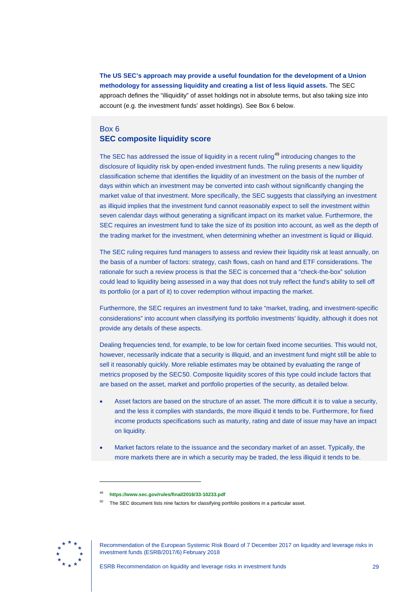**The US SEC's approach may provide a useful foundation for the development of a Union methodology for assessing liquidity and creating a list of less liquid assets.** The SEC approach defines the "illiquidity" of asset holdings not in absolute terms, but also taking size into account (e.g. the investment funds' asset holdings). See Box 6 below.

### Box 6 **SEC composite liquidity score**

The SEC has addressed the issue of liquidity in a recent ruling<sup>[49](#page-29-0)</sup> introducing changes to the disclosure of liquidity risk by open-ended investment funds. The ruling presents a new liquidity classification scheme that identifies the liquidity of an investment on the basis of the number of days within which an investment may be converted into cash without significantly changing the market value of that investment. More specifically, the SEC suggests that classifying an investment as illiquid implies that the investment fund cannot reasonably expect to sell the investment within seven calendar days without generating a significant impact on its market value. Furthermore, the SEC requires an investment fund to take the size of its position into account, as well as the depth of the trading market for the investment, when determining whether an investment is liquid or illiquid.

The SEC ruling requires fund managers to assess and review their liquidity risk at least annually, on the basis of a number of factors: strategy, cash flows, cash on hand and ETF considerations. The rationale for such a review process is that the SEC is concerned that a "check-the-box" solution could lead to liquidity being assessed in a way that does not truly reflect the fund's ability to sell off its portfolio (or a part of it) to cover redemption without impacting the market.

Furthermore, the SEC requires an investment fund to take "market, trading, and investment-specific considerations" into account when classifying its portfolio investments' liquidity, although it does not provide any details of these aspects.

Dealing frequencies tend, for example, to be low for certain fixed income securities. This would not, however, necessarily indicate that a security is illiquid, and an investment fund might still be able to sell it reasonably quickly. More reliable estimates may be obtained by evaluating the range of metrics proposed by the SEC[50](#page-29-1). Composite liquidity scores of this type could include factors that are based on the asset, market and portfolio properties of the security, as detailed below.

- Asset factors are based on the structure of an asset. The more difficult it is to value a security, and the less it complies with standards, the more illiquid it tends to be. Furthermore, for fixed income products specifications such as maturity, rating and date of issue may have an impact on liquidity.
- Market factors relate to the issuance and the secondary market of an asset. Typically, the more markets there are in which a security may be traded, the less illiquid it tends to be.

<span id="page-29-1"></span><span id="page-29-0"></span>

<sup>49</sup> **<https://www.sec.gov/rules/final/2016/33-10233.pdf>**

The SEC document lists nine factors for classifying portfolio positions in a particular asset.

Recommendation of the European Systemic Risk Board of 7 December 2017 on liquidity and leverage risks in investment funds (ESRB/2017/6) February 2018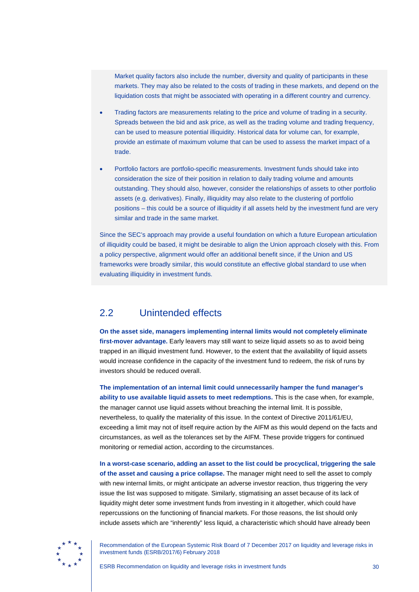Market quality factors also include the number, diversity and quality of participants in these markets. They may also be related to the costs of trading in these markets, and depend on the liquidation costs that might be associated with operating in a different country and currency.

- Trading factors are measurements relating to the price and volume of trading in a security. Spreads between the bid and ask price, as well as the trading volume and trading frequency, can be used to measure potential illiquidity. Historical data for volume can, for example, provide an estimate of maximum volume that can be used to assess the market impact of a trade.
- Portfolio factors are portfolio-specific measurements. Investment funds should take into consideration the size of their position in relation to daily trading volume and amounts outstanding. They should also, however, consider the relationships of assets to other portfolio assets (e.g. derivatives). Finally, illiquidity may also relate to the clustering of portfolio positions – this could be a source of illiquidity if all assets held by the investment fund are very similar and trade in the same market.

Since the SEC's approach may provide a useful foundation on which a future European articulation of illiquidity could be based, it might be desirable to align the Union approach closely with this. From a policy perspective, alignment would offer an additional benefit since, if the Union and US frameworks were broadly similar, this would constitute an effective global standard to use when evaluating illiquidity in investment funds.

# <span id="page-30-0"></span>2.2 Unintended effects

**On the asset side, managers implementing internal limits would not completely eliminate first-mover advantage.** Early leavers may still want to seize liquid assets so as to avoid being trapped in an illiquid investment fund. However, to the extent that the availability of liquid assets would increase confidence in the capacity of the investment fund to redeem, the risk of runs by investors should be reduced overall.

**The implementation of an internal limit could unnecessarily hamper the fund manager's ability to use available liquid assets to meet redemptions.** This is the case when, for example, the manager cannot use liquid assets without breaching the internal limit. It is possible, nevertheless, to qualify the materiality of this issue. In the context of Directive 2011/61/EU, exceeding a limit may not of itself require action by the AIFM as this would depend on the facts and circumstances, as well as the tolerances set by the AIFM. These provide triggers for continued monitoring or remedial action, according to the circumstances.

**In a worst-case scenario, adding an asset to the list could be procyclical, triggering the sale of the asset and causing a price collapse.** The manager might need to sell the asset to comply with new internal limits, or might anticipate an adverse investor reaction, thus triggering the very issue the list was supposed to mitigate. Similarly, stigmatising an asset because of its lack of liquidity might deter some investment funds from investing in it altogether, which could have repercussions on the functioning of financial markets. For those reasons, the list should only include assets which are "inherently" less liquid, a characteristic which should have already been

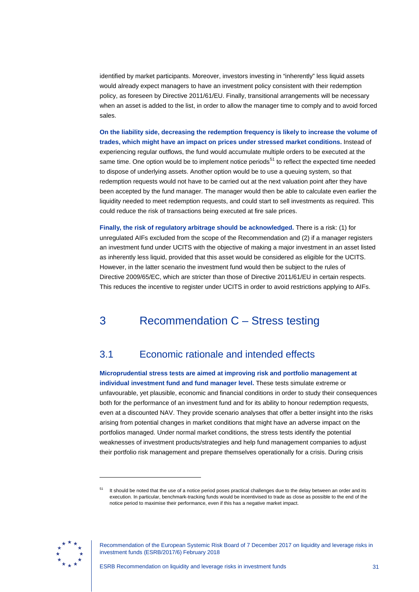identified by market participants. Moreover, investors investing in "inherently" less liquid assets would already expect managers to have an investment policy consistent with their redemption policy, as foreseen by Directive 2011/61/EU. Finally, transitional arrangements will be necessary when an asset is added to the list, in order to allow the manager time to comply and to avoid forced sales.

**On the liability side, decreasing the redemption frequency is likely to increase the volume of trades, which might have an impact on prices under stressed market conditions.** Instead of experiencing regular outflows, the fund would accumulate multiple orders to be executed at the same time. One option would be to implement notice periods<sup>[51](#page-31-2)</sup> to reflect the expected time needed to dispose of underlying assets. Another option would be to use a queuing system, so that redemption requests would not have to be carried out at the next valuation point after they have been accepted by the fund manager. The manager would then be able to calculate even earlier the liquidity needed to meet redemption requests, and could start to sell investments as required. This could reduce the risk of transactions being executed at fire sale prices.

**Finally, the risk of regulatory arbitrage should be acknowledged.** There is a risk: (1) for unregulated AIFs excluded from the scope of the Recommendation and (2) if a manager registers an investment fund under UCITS with the objective of making a major investment in an asset listed as inherently less liquid, provided that this asset would be considered as eligible for the UCITS. However, in the latter scenario the investment fund would then be subject to the rules of Directive 2009/65/EC, which are stricter than those of Directive 2011/61/EU in certain respects. This reduces the incentive to register under UCITS in order to avoid restrictions applying to AIFs.

# <span id="page-31-0"></span>3 Recommendation C – Stress testing

# <span id="page-31-1"></span>3.1 Economic rationale and intended effects

**Microprudential stress tests are aimed at improving risk and portfolio management at individual investment fund and fund manager level.** These tests simulate extreme or unfavourable, yet plausible, economic and financial conditions in order to study their consequences both for the performance of an investment fund and for its ability to honour redemption requests, even at a discounted NAV. They provide scenario analyses that offer a better insight into the risks arising from potential changes in market conditions that might have an adverse impact on the portfolios managed. Under normal market conditions, the stress tests identify the potential weaknesses of investment products/strategies and help fund management companies to adjust their portfolio risk management and prepare themselves operationally for a crisis. During crisis

<span id="page-31-2"></span>

It should be noted that the use of a notice period poses practical challenges due to the delay between an order and its execution. In particular, benchmark-tracking funds would be incentivised to trade as close as possible to the end of the notice period to maximise their performance, even if this has a negative market impact.

Recommendation of the European Systemic Risk Board of 7 December 2017 on liquidity and leverage risks in investment funds (ESRB/2017/6) February 2018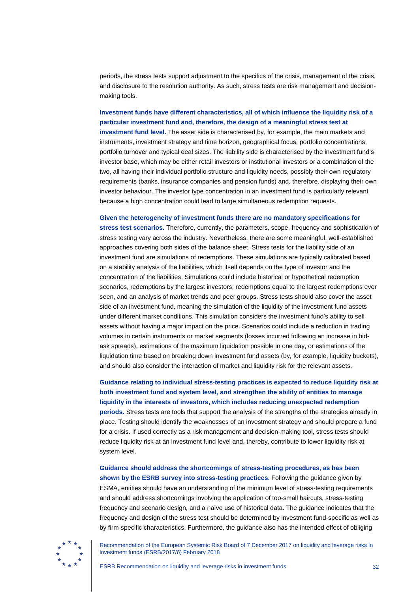periods, the stress tests support adjustment to the specifics of the crisis, management of the crisis, and disclosure to the resolution authority. As such, stress tests are risk management and decisionmaking tools.

**Investment funds have different characteristics, all of which influence the liquidity risk of a particular investment fund and, therefore, the design of a meaningful stress test at investment fund level.** The asset side is characterised by, for example, the main markets and instruments, investment strategy and time horizon, geographical focus, portfolio concentrations, portfolio turnover and typical deal sizes. The liability side is characterised by the investment fund's investor base, which may be either retail investors or institutional investors or a combination of the two, all having their individual portfolio structure and liquidity needs, possibly their own regulatory requirements (banks, insurance companies and pension funds) and, therefore, displaying their own investor behaviour. The investor type concentration in an investment fund is particularly relevant because a high concentration could lead to large simultaneous redemption requests.

#### **Given the heterogeneity of investment funds there are no mandatory specifications for**

**stress test scenarios.** Therefore, currently, the parameters, scope, frequency and sophistication of stress testing vary across the industry. Nevertheless, there are some meaningful, well-established approaches covering both sides of the balance sheet. Stress tests for the liability side of an investment fund are simulations of redemptions. These simulations are typically calibrated based on a stability analysis of the liabilities, which itself depends on the type of investor and the concentration of the liabilities. Simulations could include historical or hypothetical redemption scenarios, redemptions by the largest investors, redemptions equal to the largest redemptions ever seen, and an analysis of market trends and peer groups. Stress tests should also cover the asset side of an investment fund, meaning the simulation of the liquidity of the investment fund assets under different market conditions. This simulation considers the investment fund's ability to sell assets without having a major impact on the price. Scenarios could include a reduction in trading volumes in certain instruments or market segments (losses incurred following an increase in bidask spreads), estimations of the maximum liquidation possible in one day, or estimations of the liquidation time based on breaking down investment fund assets (by, for example, liquidity buckets), and should also consider the interaction of market and liquidity risk for the relevant assets.

## **Guidance relating to individual stress-testing practices is expected to reduce liquidity risk at both investment fund and system level, and strengthen the ability of entities to manage liquidity in the interests of investors, which includes reducing unexpected redemption periods.** Stress tests are tools that support the analysis of the strengths of the strategies already in place. Testing should identify the weaknesses of an investment strategy and should prepare a fund for a crisis. If used correctly as a risk management and decision-making tool, stress tests should reduce liquidity risk at an investment fund level and, thereby, contribute to lower liquidity risk at system level.

**Guidance should address the shortcomings of stress-testing procedures, as has been shown by the ESRB survey into stress-testing practices.** Following the guidance given by ESMA, entities should have an understanding of the minimum level of stress-testing requirements and should address shortcomings involving the application of too-small haircuts, stress-testing frequency and scenario design, and a naïve use of historical data. The guidance indicates that the frequency and design of the stress test should be determined by investment fund-specific as well as by firm-specific characteristics. Furthermore, the guidance also has the intended effect of obliging

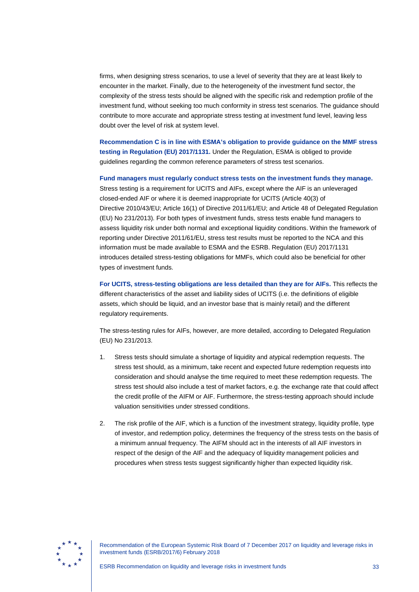firms, when designing stress scenarios, to use a level of severity that they are at least likely to encounter in the market. Finally, due to the heterogeneity of the investment fund sector, the complexity of the stress tests should be aligned with the specific risk and redemption profile of the investment fund, without seeking too much conformity in stress test scenarios. The guidance should contribute to more accurate and appropriate stress testing at investment fund level, leaving less doubt over the level of risk at system level.

**Recommendation C is in line with ESMA's obligation to provide guidance on the MMF stress testing in Regulation (EU) 2017/1131.** Under the Regulation, ESMA is obliged to provide guidelines regarding the common reference parameters of stress test scenarios.

**Fund managers must regularly conduct stress tests on the investment funds they manage.** Stress testing is a requirement for UCITS and AIFs, except where the AIF is an unleveraged closed-ended AIF or where it is deemed inappropriate for UCITS (Article 40(3) of Directive 2010/43/EU; Article 16(1) of Directive 2011/61/EU; and Article 48 of Delegated Regulation (EU) No 231/2013). For both types of investment funds, stress tests enable fund managers to assess liquidity risk under both normal and exceptional liquidity conditions. Within the framework of reporting under Directive 2011/61/EU, stress test results must be reported to the NCA and this information must be made available to ESMA and the ESRB. Regulation (EU) 2017/1131 introduces detailed stress-testing obligations for MMFs, which could also be beneficial for other types of investment funds.

**For UCITS, stress-testing obligations are less detailed than they are for AIFs.** This reflects the different characteristics of the asset and liability sides of UCITS (i.e. the definitions of eligible assets, which should be liquid, and an investor base that is mainly retail) and the different regulatory requirements.

The stress-testing rules for AIFs, however, are more detailed, according to Delegated Regulation (EU) No 231/2013.

- 1. Stress tests should simulate a shortage of liquidity and atypical redemption requests. The stress test should, as a minimum, take recent and expected future redemption requests into consideration and should analyse the time required to meet these redemption requests. The stress test should also include a test of market factors, e.g. the exchange rate that could affect the credit profile of the AIFM or AIF. Furthermore, the stress-testing approach should include valuation sensitivities under stressed conditions.
- 2. The risk profile of the AIF, which is a function of the investment strategy, liquidity profile, type of investor, and redemption policy, determines the frequency of the stress tests on the basis of a minimum annual frequency. The AIFM should act in the interests of all AIF investors in respect of the design of the AIF and the adequacy of liquidity management policies and procedures when stress tests suggest significantly higher than expected liquidity risk.

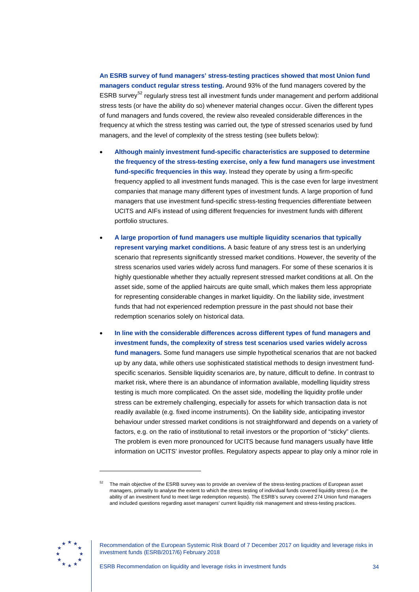**An ESRB survey of fund managers' stress-testing practices showed that most Union fund managers conduct regular stress testing.** Around 93% of the fund managers covered by the ESRB survey<sup>[52](#page-34-0)</sup> regularly stress test all investment funds under management and perform additional stress tests (or have the ability do so) whenever material changes occur. Given the different types of fund managers and funds covered, the review also revealed considerable differences in the frequency at which the stress testing was carried out, the type of stressed scenarios used by fund managers, and the level of complexity of the stress testing (see bullets below):

- **Although mainly investment fund-specific characteristics are supposed to determine the frequency of the stress-testing exercise, only a few fund managers use investment fund-specific frequencies in this way.** Instead they operate by using a firm-specific frequency applied to all investment funds managed. This is the case even for large investment companies that manage many different types of investment funds. A large proportion of fund managers that use investment fund-specific stress-testing frequencies differentiate between UCITS and AIFs instead of using different frequencies for investment funds with different portfolio structures.
- **A large proportion of fund managers use multiple liquidity scenarios that typically represent varying market conditions.** A basic feature of any stress test is an underlying scenario that represents significantly stressed market conditions. However, the severity of the stress scenarios used varies widely across fund managers. For some of these scenarios it is highly questionable whether they actually represent stressed market conditions at all. On the asset side, some of the applied haircuts are quite small, which makes them less appropriate for representing considerable changes in market liquidity. On the liability side, investment funds that had not experienced redemption pressure in the past should not base their redemption scenarios solely on historical data.
- **In line with the considerable differences across different types of fund managers and investment funds, the complexity of stress test scenarios used varies widely across fund managers.** Some fund managers use simple hypothetical scenarios that are not backed up by any data, while others use sophisticated statistical methods to design investment fundspecific scenarios. Sensible liquidity scenarios are, by nature, difficult to define. In contrast to market risk, where there is an abundance of information available, modelling liquidity stress testing is much more complicated. On the asset side, modelling the liquidity profile under stress can be extremely challenging, especially for assets for which transaction data is not readily available (e.g. fixed income instruments). On the liability side, anticipating investor behaviour under stressed market conditions is not straightforward and depends on a variety of factors, e.g. on the ratio of institutional to retail investors or the proportion of "sticky" clients. The problem is even more pronounced for UCITS because fund managers usually have little information on UCITS' investor profiles. Regulatory aspects appear to play only a minor role in

<span id="page-34-0"></span>

The main objective of the ESRB survey was to provide an overview of the stress-testing practices of European asset managers, primarily to analyse the extent to which the stress testing of individual funds covered liquidity stress (i.e. the ability of an investment fund to meet large redemption requests). The ESRB's survey covered 274 Union fund managers and included questions regarding asset managers' current liquidity risk management and stress-testing practices.

Recommendation of the European Systemic Risk Board of 7 December 2017 on liquidity and leverage risks in investment funds (ESRB/2017/6) February 2018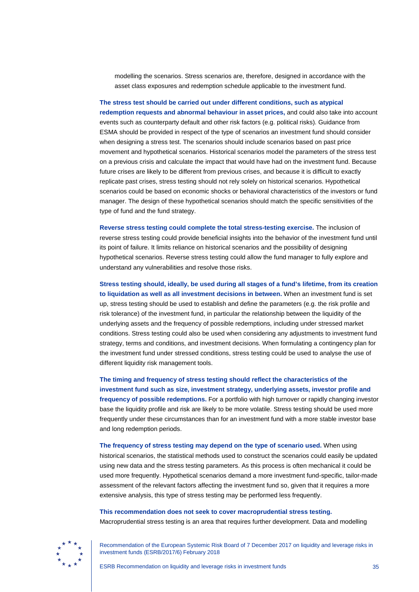modelling the scenarios. Stress scenarios are, therefore, designed in accordance with the asset class exposures and redemption schedule applicable to the investment fund.

**The stress test should be carried out under different conditions, such as atypical redemption requests and abnormal behaviour in asset prices,** and could also take into account events such as counterparty default and other risk factors (e.g. political risks). Guidance from ESMA should be provided in respect of the type of scenarios an investment fund should consider when designing a stress test. The scenarios should include scenarios based on past price movement and hypothetical scenarios. Historical scenarios model the parameters of the stress test on a previous crisis and calculate the impact that would have had on the investment fund. Because future crises are likely to be different from previous crises, and because it is difficult to exactly replicate past crises, stress testing should not rely solely on historical scenarios. Hypothetical scenarios could be based on economic shocks or behavioral characteristics of the investors or fund manager. The design of these hypothetical scenarios should match the specific sensitivities of the type of fund and the fund strategy.

**Reverse stress testing could complete the total stress-testing exercise.** The inclusion of reverse stress testing could provide beneficial insights into the behavior of the investment fund until its point of failure. It limits reliance on historical scenarios and the possibility of designing hypothetical scenarios. Reverse stress testing could allow the fund manager to fully explore and understand any vulnerabilities and resolve those risks.

**Stress testing should, ideally, be used during all stages of a fund's lifetime, from its creation to liquidation as well as all investment decisions in between.** When an investment fund is set up, stress testing should be used to establish and define the parameters (e.g. the risk profile and risk tolerance) of the investment fund, in particular the relationship between the liquidity of the underlying assets and the frequency of possible redemptions, including under stressed market conditions. Stress testing could also be used when considering any adjustments to investment fund strategy, terms and conditions, and investment decisions. When formulating a contingency plan for the investment fund under stressed conditions, stress testing could be used to analyse the use of different liquidity risk management tools.

**The timing and frequency of stress testing should reflect the characteristics of the investment fund such as size, investment strategy, underlying assets, investor profile and frequency of possible redemptions.** For a portfolio with high turnover or rapidly changing investor base the liquidity profile and risk are likely to be more volatile. Stress testing should be used more frequently under these circumstances than for an investment fund with a more stable investor base and long redemption periods.

**The frequency of stress testing may depend on the type of scenario used.** When using historical scenarios, the statistical methods used to construct the scenarios could easily be updated using new data and the stress testing parameters. As this process is often mechanical it could be used more frequently. Hypothetical scenarios demand a more investment fund-specific, tailor-made assessment of the relevant factors affecting the investment fund so, given that it requires a more extensive analysis, this type of stress testing may be performed less frequently.

**This recommendation does not seek to cover macroprudential stress testing.** Macroprudential stress testing is an area that requires further development. Data and modelling

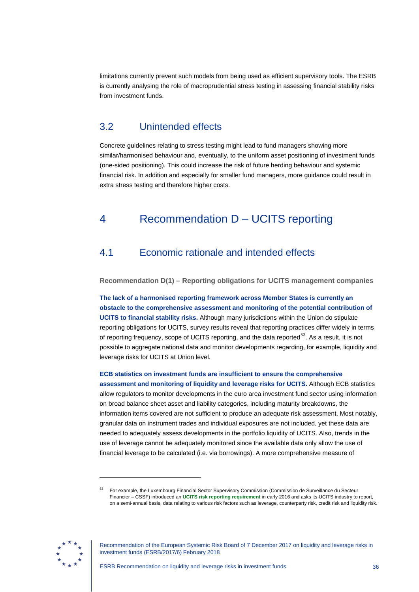limitations currently prevent such models from being used as efficient supervisory tools. The ESRB is currently analysing the role of macroprudential stress testing in assessing financial stability risks from investment funds.

# <span id="page-36-0"></span>3.2 Unintended effects

Concrete guidelines relating to stress testing might lead to fund managers showing more similar/harmonised behaviour and, eventually, to the uniform asset positioning of investment funds (one-sided positioning). This could increase the risk of future herding behaviour and systemic financial risk. In addition and especially for smaller fund managers, more guidance could result in extra stress testing and therefore higher costs.

# <span id="page-36-1"></span>4 Recommendation D – UCITS reporting

# <span id="page-36-2"></span>4.1 Economic rationale and intended effects

<span id="page-36-3"></span>**Recommendation D(1) – Reporting obligations for UCITS management companies**

**The lack of a harmonised reporting framework across Member States is currently an obstacle to the comprehensive assessment and monitoring of the potential contribution of UCITS to financial stability risks.** Although many jurisdictions within the Union do stipulate reporting obligations for UCITS, survey results reveal that reporting practices differ widely in terms of reporting frequency, scope of UCITS reporting, and the data reported<sup>[53](#page-36-4)</sup>. As a result, it is not possible to aggregate national data and monitor developments regarding, for example, liquidity and leverage risks for UCITS at Union level.

**ECB statistics on investment funds are insufficient to ensure the comprehensive assessment and monitoring of liquidity and leverage risks for UCITS.** Although ECB statistics allow regulators to monitor developments in the euro area investment fund sector using information on broad balance sheet asset and liability categories, including maturity breakdowns, the information items covered are not sufficient to produce an adequate risk assessment. Most notably, granular data on instrument trades and individual exposures are not included, yet these data are needed to adequately assess developments in the portfolio liquidity of UCITS. Also, trends in the use of leverage cannot be adequately monitored since the available data only allow the use of financial leverage to be calculated (i.e. via borrowings). A more comprehensive measure of

<span id="page-36-4"></span>

<sup>53</sup> For example, the Luxembourg Financial Sector Supervisory Commission (Commission de Surveillance du Secteur Financier – CSSF) introduced an **[UCITS risk reporting requirement](http://www.cssf.lu/en/supervision/ivm/ucits/legal-reporting/)** in early 2016 and asks its UCITS industry to report, on a semi-annual basis, data relating to various risk factors such as leverage, counterparty risk, credit risk and liquidity risk.

Recommendation of the European Systemic Risk Board of 7 December 2017 on liquidity and leverage risks in investment funds (ESRB/2017/6) February 2018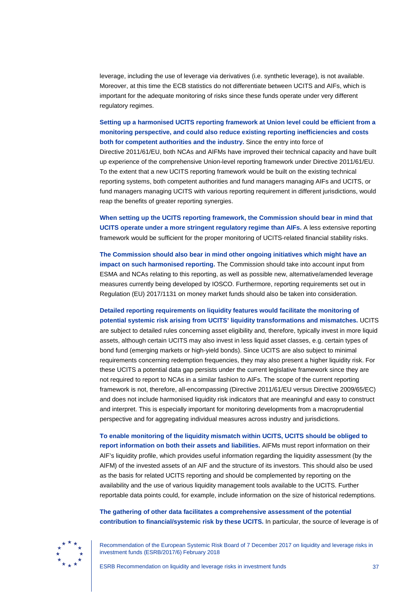leverage, including the use of leverage via derivatives (i.e. synthetic leverage), is not available. Moreover, at this time the ECB statistics do not differentiate between UCITS and AIFs, which is important for the adequate monitoring of risks since these funds operate under very different regulatory regimes.

### **Setting up a harmonised UCITS reporting framework at Union level could be efficient from a monitoring perspective, and could also reduce existing reporting inefficiencies and costs both for competent authorities and the industry.** Since the entry into force of

Directive 2011/61/EU, both NCAs and AIFMs have improved their technical capacity and have built up experience of the comprehensive Union-level reporting framework under Directive 2011/61/EU. To the extent that a new UCITS reporting framework would be built on the existing technical reporting systems, both competent authorities and fund managers managing AIFs and UCITS, or fund managers managing UCITS with various reporting requirement in different jurisdictions, would reap the benefits of greater reporting synergies.

**When setting up the UCITS reporting framework, the Commission should bear in mind that UCITS operate under a more stringent regulatory regime than AIFs.** A less extensive reporting framework would be sufficient for the proper monitoring of UCITS-related financial stability risks.

**The Commission should also bear in mind other ongoing initiatives which might have an impact on such harmonised reporting.** The Commission should take into account input from ESMA and NCAs relating to this reporting, as well as possible new, alternative/amended leverage measures currently being developed by IOSCO. Furthermore, reporting requirements set out in Regulation (EU) 2017/1131 on money market funds should also be taken into consideration.

**Detailed reporting requirements on liquidity features would facilitate the monitoring of potential systemic risk arising from UCITS' liquidity transformations and mismatches.** UCITS are subject to detailed rules concerning asset eligibility and, therefore, typically invest in more liquid assets, although certain UCITS may also invest in less liquid asset classes, e.g. certain types of bond fund (emerging markets or high-yield bonds). Since UCITS are also subject to minimal requirements concerning redemption frequencies, they may also present a higher liquidity risk. For these UCITS a potential data gap persists under the current legislative framework since they are not required to report to NCAs in a similar fashion to AIFs. The scope of the current reporting framework is not, therefore, all-encompassing (Directive 2011/61/EU versus Directive 2009/65/EC) and does not include harmonised liquidity risk indicators that are meaningful and easy to construct and interpret. This is especially important for monitoring developments from a macroprudential perspective and for aggregating individual measures across industry and jurisdictions.

**To enable monitoring of the liquidity mismatch within UCITS, UCITS should be obliged to report information on both their assets and liabilities.** AIFMs must report information on their AIF's liquidity profile, which provides useful information regarding the liquidity assessment (by the AIFM) of the invested assets of an AIF and the structure of its investors. This should also be used as the basis for related UCITS reporting and should be complemented by reporting on the availability and the use of various liquidity management tools available to the UCITS. Further reportable data points could, for example, include information on the size of historical redemptions.

**The gathering of other data facilitates a comprehensive assessment of the potential contribution to financial/systemic risk by these UCITS.** In particular, the source of leverage is of

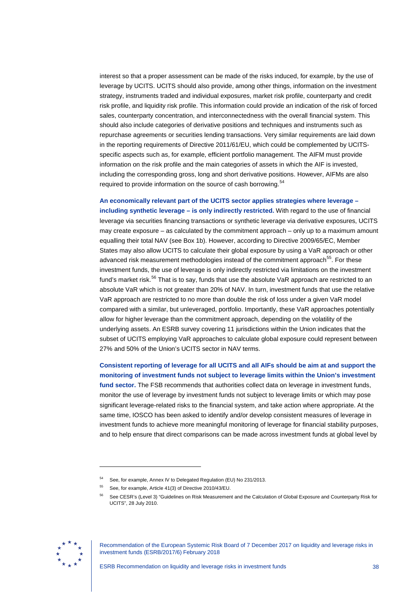interest so that a proper assessment can be made of the risks induced, for example, by the use of leverage by UCITS. UCITS should also provide, among other things, information on the investment strategy, instruments traded and individual exposures, market risk profile, counterparty and credit risk profile, and liquidity risk profile. This information could provide an indication of the risk of forced sales, counterparty concentration, and interconnectedness with the overall financial system. This should also include categories of derivative positions and techniques and instruments such as repurchase agreements or securities lending transactions. Very similar requirements are laid down in the reporting requirements of Directive 2011/61/EU, which could be complemented by UCITSspecific aspects such as, for example, efficient portfolio management. The AIFM must provide information on the risk profile and the main categories of assets in which the AIF is invested, including the corresponding gross, long and short derivative positions. However, AIFMs are also required to provide information on the source of cash borrowing.<sup>[54](#page-38-0)</sup>

**An economically relevant part of the UCITS sector applies strategies where leverage – including synthetic leverage – is only indirectly restricted.** With regard to the use of financial leverage via securities financing transactions or synthetic leverage via derivative exposures, UCITS may create exposure – as calculated by the commitment approach – only up to a maximum amount equalling their total NAV (see Box 1b). However, according to Directive 2009/65/EC, Member States may also allow UCITS to calculate their global exposure by using a VaR approach or other advanced risk measurement methodologies instead of the commitment approach<sup>[55](#page-38-1)</sup>. For these investment funds, the use of leverage is only indirectly restricted via limitations on the investment fund's market risk.<sup>[56](#page-38-2)</sup> That is to say, funds that use the absolute VaR approach are restricted to an absolute VaR which is not greater than 20% of NAV. In turn, investment funds that use the relative VaR approach are restricted to no more than double the risk of loss under a given VaR model compared with a similar, but unleveraged, portfolio. Importantly, these VaR approaches potentially allow for higher leverage than the commitment approach, depending on the volatility of the underlying assets. An ESRB survey covering 11 jurisdictions within the Union indicates that the subset of UCITS employing VaR approaches to calculate global exposure could represent between 27% and 50% of the Union's UCITS sector in NAV terms.

**Consistent reporting of leverage for all UCITS and all AIFs should be aim at and support the monitoring of investment funds not subject to leverage limits within the Union's investment fund sector.** The FSB recommends that authorities collect data on leverage in investment funds, monitor the use of leverage by investment funds not subject to leverage limits or which may pose significant leverage-related risks to the financial system, and take action where appropriate. At the same time, IOSCO has been asked to identify and/or develop consistent measures of leverage in investment funds to achieve more meaningful monitoring of leverage for financial stability purposes, and to help ensure that direct comparisons can be made across investment funds at global level by

<span id="page-38-2"></span><span id="page-38-1"></span><span id="page-38-0"></span>

<sup>54</sup> See, for example, Annex IV to Delegated Regulation (EU) No 231/2013.

<sup>55</sup> See, for example, Article 41(3) of Directive 2010/43/EU.

<sup>56</sup> See CESR's (Level 3) "Guidelines on Risk Measurement and the Calculation of Global Exposure and Counterparty Risk for UCITS", 28 July 2010.

Recommendation of the European Systemic Risk Board of 7 December 2017 on liquidity and leverage risks in investment funds (ESRB/2017/6) February 2018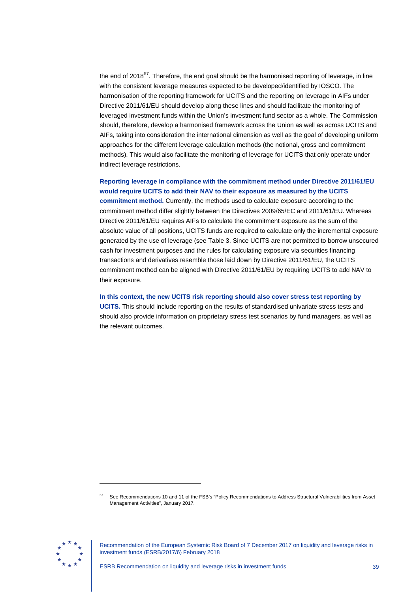the end of 2018<sup>57</sup>. Therefore, the end goal should be the harmonised reporting of leverage, in line with the consistent leverage measures expected to be developed/identified by IOSCO. The harmonisation of the reporting framework for UCITS and the reporting on leverage in AIFs under Directive 2011/61/EU should develop along these lines and should facilitate the monitoring of leveraged investment funds within the Union's investment fund sector as a whole. The Commission should, therefore, develop a harmonised framework across the Union as well as across UCITS and AIFs, taking into consideration the international dimension as well as the goal of developing uniform approaches for the different leverage calculation methods (the notional, gross and commitment methods). This would also facilitate the monitoring of leverage for UCITS that only operate under indirect leverage restrictions.

**Reporting leverage in compliance with the commitment method under Directive 2011/61/EU would require UCITS to add their NAV to their exposure as measured by the UCITS** 

**commitment method.** Currently, the methods used to calculate exposure according to the commitment method differ slightly between the Directives 2009/65/EC and 2011/61/EU. Whereas Directive 2011/61/EU requires AIFs to calculate the commitment exposure as the sum of the absolute value of all positions, UCITS funds are required to calculate only the incremental exposure generated by the use of leverage (see Table 3. Since UCITS are not permitted to borrow unsecured cash for investment purposes and the rules for calculating exposure via securities financing transactions and derivatives resemble those laid down by Directive 2011/61/EU, the UCITS commitment method can be aligned with Directive 2011/61/EU by requiring UCITS to add NAV to their exposure.

**In this context, the new UCITS risk reporting should also cover stress test reporting by UCITS.** This should include reporting on the results of standardised univariate stress tests and should also provide information on proprietary stress test scenarios by fund managers, as well as the relevant outcomes.

<span id="page-39-0"></span>

<sup>57</sup> See Recommendations 10 and 11 of the FSB's "Policy Recommendations to Address Structural Vulnerabilities from Asset Management Activities", January 2017.

Recommendation of the European Systemic Risk Board of 7 December 2017 on liquidity and leverage risks in investment funds (ESRB/2017/6) February 2018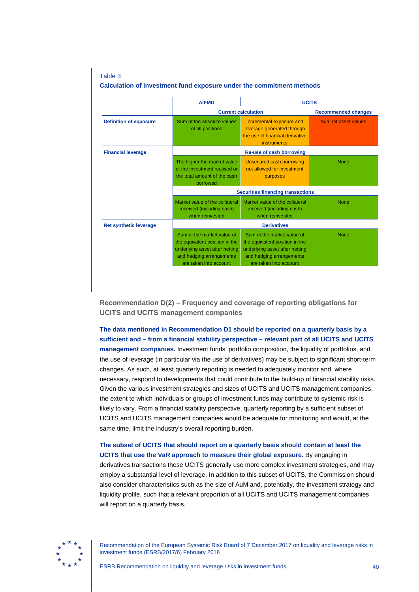### Table 3 **Calculation of investment fund exposure under the commitment methods**

|                               | <b>AIFMD</b>                                                                                                                                         | <b>UCITS</b>                                                                                                                                         |                      |  |  |  |  |  |  |  |
|-------------------------------|------------------------------------------------------------------------------------------------------------------------------------------------------|------------------------------------------------------------------------------------------------------------------------------------------------------|----------------------|--|--|--|--|--|--|--|
|                               | <b>Current calculation</b>                                                                                                                           | <b>Recommended changes</b>                                                                                                                           |                      |  |  |  |  |  |  |  |
| <b>Definition of exposure</b> | Sum of the absolute values<br>of all positions                                                                                                       | Incremental exposure and<br>leverage generated through<br>the use of financial derivative<br>instruments                                             | Add net asset values |  |  |  |  |  |  |  |
| <b>Financial leverage</b>     | Re-use of cash borrowing                                                                                                                             |                                                                                                                                                      |                      |  |  |  |  |  |  |  |
|                               | The higher the market value<br>of the investment realised or<br>the total amount of the cash<br>borrowed                                             | Unsecured cash borrowing<br>not allowed for investment<br>purposes                                                                                   | <b>None</b>          |  |  |  |  |  |  |  |
|                               | <b>Securities financing transactions</b>                                                                                                             |                                                                                                                                                      |                      |  |  |  |  |  |  |  |
|                               | Market value of the collateral<br>received (including cash)<br>when reinvested                                                                       | Market value of the collateral<br>received (including cash)<br>when reinvested                                                                       | <b>None</b>          |  |  |  |  |  |  |  |
| <b>Net synthetic leverage</b> | <b>Derivatives</b>                                                                                                                                   |                                                                                                                                                      |                      |  |  |  |  |  |  |  |
|                               | Sum of the market value of<br>the equivalent position in the<br>underlying asset after netting<br>and hedging arrangements<br>are taken into account | Sum of the market value of<br>the equivalent position in the<br>underlying asset after netting<br>and hedging arrangements<br>are taken into account | <b>None</b>          |  |  |  |  |  |  |  |

<span id="page-40-0"></span>**Recommendation D(2) – Frequency and coverage of reporting obligations for UCITS and UCITS management companies**

**The data mentioned in Recommendation D1 should be reported on a quarterly basis by a sufficient and – from a financial stability perspective – relevant part of all UCITS and UCITS management companies.** Investment funds' portfolio composition, the liquidity of portfolios, and the use of leverage (in particular via the use of derivatives) may be subject to significant short-term changes. As such, at least quarterly reporting is needed to adequately monitor and, where necessary, respond to developments that could contribute to the build-up of financial stability risks. Given the various investment strategies and sizes of UCITS and UCITS management companies, the extent to which individuals or groups of investment funds may contribute to systemic risk is likely to vary. From a financial stability perspective, quarterly reporting by a sufficient subset of UCITS and UCITS management companies would be adequate for monitoring and would, at the same time, limit the industry's overall reporting burden.

# **The subset of UCITS that should report on a quarterly basis should contain at least the UCITS that use the VaR approach to measure their global exposure.** By engaging in derivatives transactions these UCITS generally use more complex investment strategies, and may

employ a substantial level of leverage. In addition to this subset of UCITS, the Commission should also consider characteristics such as the size of AuM and, potentially, the investment strategy and liquidity profile, such that a relevant proportion of all UCITS and UCITS management companies will report on a quarterly basis.

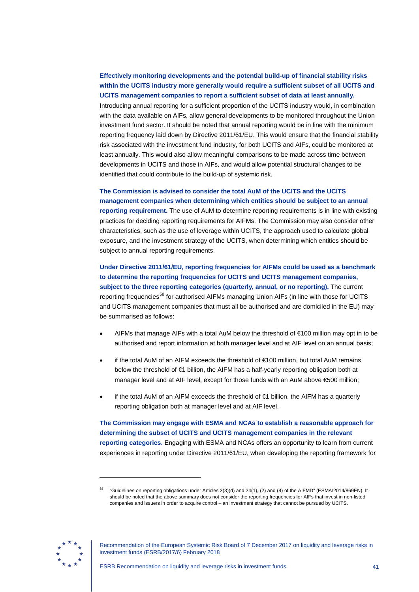**Effectively monitoring developments and the potential build-up of financial stability risks within the UCITS industry more generally would require a sufficient subset of all UCITS and UCITS management companies to report a sufficient subset of data at least annually.** Introducing annual reporting for a sufficient proportion of the UCITS industry would, in combination with the data available on AIFs, allow general developments to be monitored throughout the Union investment fund sector. It should be noted that annual reporting would be in line with the minimum reporting frequency laid down by Directive 2011/61/EU. This would ensure that the financial stability risk associated with the investment fund industry, for both UCITS and AIFs, could be monitored at least annually. This would also allow meaningful comparisons to be made across time between developments in UCITS and those in AIFs, and would allow potential structural changes to be identified that could contribute to the build-up of systemic risk.

**The Commission is advised to consider the total AuM of the UCITS and the UCITS management companies when determining which entities should be subject to an annual reporting requirement.** The use of AuM to determine reporting requirements is in line with existing practices for deciding reporting requirements for AIFMs. The Commission may also consider other characteristics, such as the use of leverage within UCITS, the approach used to calculate global exposure, and the investment strategy of the UCITS, when determining which entities should be subject to annual reporting requirements.

**Under Directive 2011/61/EU, reporting frequencies for AIFMs could be used as a benchmark to determine the reporting frequencies for UCITS and UCITS management companies, subject to the three reporting categories (quarterly, annual, or no reporting).** The current reporting frequencies<sup>[58](#page-41-0)</sup> for authorised AIFMs managing Union AIFs (in line with those for UCITS and UCITS management companies that must all be authorised and are domiciled in the EU) may be summarised as follows:

- AIFMs that manage AIFs with a total AuM below the threshold of  $\epsilon$ 100 million may opt in to be authorised and report information at both manager level and at AIF level on an annual basis;
- if the total AuM of an AIFM exceeds the threshold of €100 million, but total AuM remains below the threshold of €1 billion, the AIFM has a half-yearly reporting obligation both at manager level and at AIF level, except for those funds with an AuM above €500 million;
- if the total AuM of an AIFM exceeds the threshold of €1 billion, the AIFM has a quarterly reporting obligation both at manager level and at AIF level.

**The Commission may engage with ESMA and NCAs to establish a reasonable approach for determining the subset of UCITS and UCITS management companies in the relevant reporting categories.** Engaging with ESMA and NCAs offers an opportunity to learn from current experiences in reporting under Directive 2011/61/EU, when developing the reporting framework for

<span id="page-41-0"></span>

<sup>58</sup> "Guidelines on reporting obligations under Articles 3(3)(d) and 24(1), (2) and (4) of the AIFMD" (ESMA/2014/869EN). It should be noted that the above summary does not consider the reporting frequencies for AIFs that invest in non-listed companies and issuers in order to acquire control – an investment strategy that cannot be pursued by UCITS.

Recommendation of the European Systemic Risk Board of 7 December 2017 on liquidity and leverage risks in investment funds (ESRB/2017/6) February 2018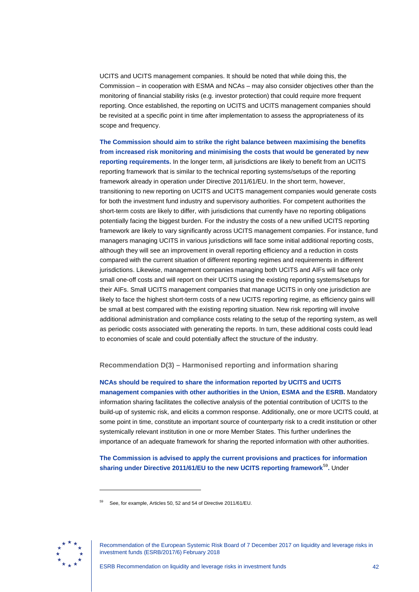UCITS and UCITS management companies. It should be noted that while doing this, the Commission – in cooperation with ESMA and NCAs – may also consider objectives other than the monitoring of financial stability risks (e.g. investor protection) that could require more frequent reporting. Once established, the reporting on UCITS and UCITS management companies should be revisited at a specific point in time after implementation to assess the appropriateness of its scope and frequency.

**The Commission should aim to strike the right balance between maximising the benefits from increased risk monitoring and minimising the costs that would be generated by new reporting requirements.** In the longer term, all jurisdictions are likely to benefit from an UCITS reporting framework that is similar to the technical reporting systems/setups of the reporting framework already in operation under Directive 2011/61/EU. In the short term, however, transitioning to new reporting on UCITS and UCITS management companies would generate costs for both the investment fund industry and supervisory authorities. For competent authorities the short-term costs are likely to differ, with jurisdictions that currently have no reporting obligations potentially facing the biggest burden. For the industry the costs of a new unified UCITS reporting framework are likely to vary significantly across UCITS management companies. For instance, fund managers managing UCITS in various jurisdictions will face some initial additional reporting costs, although they will see an improvement in overall reporting efficiency and a reduction in costs compared with the current situation of different reporting regimes and requirements in different jurisdictions. Likewise, management companies managing both UCITS and AIFs will face only small one-off costs and will report on their UCITS using the existing reporting systems/setups for their AIFs. Small UCITS management companies that manage UCITS in only one jurisdiction are likely to face the highest short-term costs of a new UCITS reporting regime, as efficiency gains will be small at best compared with the existing reporting situation. New risk reporting will involve additional administration and compliance costs relating to the setup of the reporting system, as well as periodic costs associated with generating the reports. In turn, these additional costs could lead to economies of scale and could potentially affect the structure of the industry.

<span id="page-42-0"></span>**Recommendation D(3) – Harmonised reporting and information sharing**

**NCAs should be required to share the information reported by UCITS and UCITS management companies with other authorities in the Union, ESMA and the ESRB.** Mandatory information sharing facilitates the collective analysis of the potential contribution of UCITS to the build-up of systemic risk, and elicits a common response. Additionally, one or more UCITS could, at some point in time, constitute an important source of counterparty risk to a credit institution or other systemically relevant institution in one or more Member States. This further underlines the importance of an adequate framework for sharing the reported information with other authorities.

**The Commission is advised to apply the current provisions and practices for information sharing under Directive 2011/61/EU to the new UCITS reporting framework**[59](#page-42-1)**.** Under

<span id="page-42-1"></span>

<sup>59</sup> See, for example, Articles 50, 52 and 54 of Directive 2011/61/EU.

Recommendation of the European Systemic Risk Board of 7 December 2017 on liquidity and leverage risks in investment funds (ESRB/2017/6) February 2018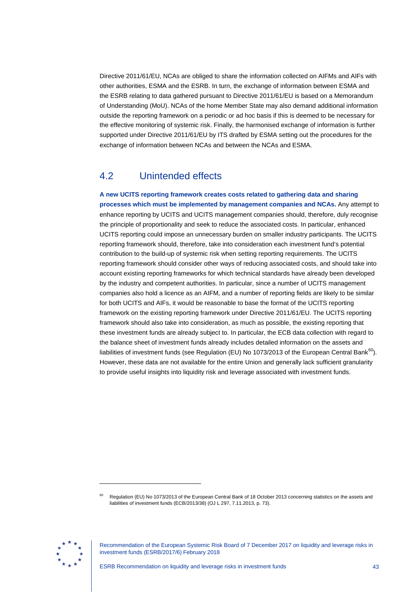Directive 2011/61/EU, NCAs are obliged to share the information collected on AIFMs and AIFs with other authorities, ESMA and the ESRB. In turn, the exchange of information between ESMA and the ESRB relating to data gathered pursuant to Directive 2011/61/EU is based on a Memorandum of Understanding (MoU). NCAs of the home Member State may also demand additional information outside the reporting framework on a periodic or ad hoc basis if this is deemed to be necessary for the effective monitoring of systemic risk. Finally, the harmonised exchange of information is further supported under Directive 2011/61/EU by ITS drafted by ESMA setting out the procedures for the exchange of information between NCAs and between the NCAs and ESMA.

# <span id="page-43-0"></span>4.2 Unintended effects

**A new UCITS reporting framework creates costs related to gathering data and sharing processes which must be implemented by management companies and NCAs.** Any attempt to enhance reporting by UCITS and UCITS management companies should, therefore, duly recognise the principle of proportionality and seek to reduce the associated costs. In particular, enhanced UCITS reporting could impose an unnecessary burden on smaller industry participants. The UCITS reporting framework should, therefore, take into consideration each investment fund's potential contribution to the build-up of systemic risk when setting reporting requirements. The UCITS reporting framework should consider other ways of reducing associated costs, and should take into account existing reporting frameworks for which technical standards have already been developed by the industry and competent authorities. In particular, since a number of UCITS management companies also hold a licence as an AIFM, and a number of reporting fields are likely to be similar for both UCITS and AIFs, it would be reasonable to base the format of the UCITS reporting framework on the existing reporting framework under Directive 2011/61/EU. The UCITS reporting framework should also take into consideration, as much as possible, the existing reporting that these investment funds are already subject to. In particular, the ECB data collection with regard to the balance sheet of investment funds already includes detailed information on the assets and liabilities of investment funds (see Regulation (EU) No 1073/2013 of the European Central Bank $^{60}$  $^{60}$  $^{60}$ ). However, these data are not available for the entire Union and generally lack sufficient granularity to provide useful insights into liquidity risk and leverage associated with investment funds.

<span id="page-43-1"></span>

<sup>60</sup> Regulation (EU) No 1073/2013 of the European Central Bank of 18 October 2013 concerning statistics on the assets and liabilities of investment funds (ECB/2013/38) (OJ L 297, 7.11.2013, p. 73).

Recommendation of the European Systemic Risk Board of 7 December 2017 on liquidity and leverage risks in investment funds (ESRB/2017/6) February 2018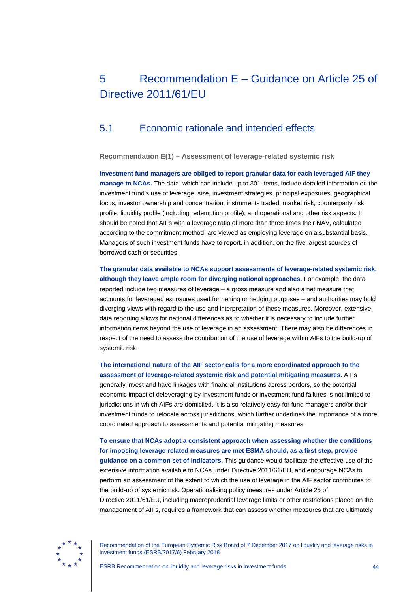# <span id="page-44-0"></span>5 Recommendation E – Guidance on Article 25 of Directive 2011/61/EU

## <span id="page-44-1"></span>5.1 Economic rationale and intended effects

<span id="page-44-2"></span>**Recommendation E(1) – Assessment of leverage-related systemic risk**

**Investment fund managers are obliged to report granular data for each leveraged AIF they manage to NCAs.** The data, which can include up to 301 items, include detailed information on the investment fund's use of leverage, size, investment strategies, principal exposures, geographical focus, investor ownership and concentration, instruments traded, market risk, counterparty risk profile, liquidity profile (including redemption profile), and operational and other risk aspects. It should be noted that AIFs with a leverage ratio of more than three times their NAV, calculated according to the commitment method, are viewed as employing leverage on a substantial basis. Managers of such investment funds have to report, in addition, on the five largest sources of borrowed cash or securities.

## **The granular data available to NCAs support assessments of leverage-related systemic risk, although they leave ample room for diverging national approaches.** For example, the data reported include two measures of leverage – a gross measure and also a net measure that accounts for leveraged exposures used for netting or hedging purposes – and authorities may hold diverging views with regard to the use and interpretation of these measures. Moreover, extensive data reporting allows for national differences as to whether it is necessary to include further information items beyond the use of leverage in an assessment. There may also be differences in respect of the need to assess the contribution of the use of leverage within AIFs to the build-up of systemic risk.

**The international nature of the AIF sector calls for a more coordinated approach to the assessment of leverage-related systemic risk and potential mitigating measures.** AIFs generally invest and have linkages with financial institutions across borders, so the potential economic impact of deleveraging by investment funds or investment fund failures is not limited to jurisdictions in which AIFs are domiciled. It is also relatively easy for fund managers and/or their investment funds to relocate across jurisdictions, which further underlines the importance of a more coordinated approach to assessments and potential mitigating measures.

**To ensure that NCAs adopt a consistent approach when assessing whether the conditions for imposing leverage-related measures are met ESMA should, as a first step, provide guidance on a common set of indicators.** This guidance would facilitate the effective use of the extensive information available to NCAs under Directive 2011/61/EU, and encourage NCAs to perform an assessment of the extent to which the use of leverage in the AIF sector contributes to the build-up of systemic risk. Operationalising policy measures under Article 25 of Directive 2011/61/EU, including macroprudential leverage limits or other restrictions placed on the management of AIFs, requires a framework that can assess whether measures that are ultimately

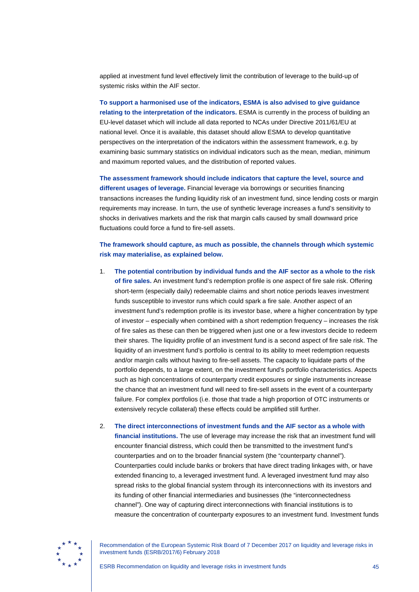applied at investment fund level effectively limit the contribution of leverage to the build-up of systemic risks within the AIF sector.

**To support a harmonised use of the indicators, ESMA is also advised to give guidance relating to the interpretation of the indicators.** ESMA is currently in the process of building an EU-level dataset which will include all data reported to NCAs under Directive 2011/61/EU at national level. Once it is available, this dataset should allow ESMA to develop quantitative perspectives on the interpretation of the indicators within the assessment framework, e.g. by examining basic summary statistics on individual indicators such as the mean, median, minimum and maximum reported values, and the distribution of reported values.

**The assessment framework should include indicators that capture the level, source and different usages of leverage.** Financial leverage via borrowings or securities financing transactions increases the funding liquidity risk of an investment fund, since lending costs or margin requirements may increase. In turn, the use of synthetic leverage increases a fund's sensitivity to shocks in derivatives markets and the risk that margin calls caused by small downward price fluctuations could force a fund to fire-sell assets.

**The framework should capture, as much as possible, the channels through which systemic risk may materialise, as explained below.**

- 1. **The potential contribution by individual funds and the AIF sector as a whole to the risk of fire sales.** An investment fund's redemption profile is one aspect of fire sale risk. Offering short-term (especially daily) redeemable claims and short notice periods leaves investment funds susceptible to investor runs which could spark a fire sale. Another aspect of an investment fund's redemption profile is its investor base, where a higher concentration by type of investor – especially when combined with a short redemption frequency – increases the risk of fire sales as these can then be triggered when just one or a few investors decide to redeem their shares. The liquidity profile of an investment fund is a second aspect of fire sale risk. The liquidity of an investment fund's portfolio is central to its ability to meet redemption requests and/or margin calls without having to fire-sell assets. The capacity to liquidate parts of the portfolio depends, to a large extent, on the investment fund's portfolio characteristics. Aspects such as high concentrations of counterparty credit exposures or single instruments increase the chance that an investment fund will need to fire-sell assets in the event of a counterparty failure. For complex portfolios (i.e. those that trade a high proportion of OTC instruments or extensively recycle collateral) these effects could be amplified still further.
- 2. **The direct interconnections of investment funds and the AIF sector as a whole with financial institutions.** The use of leverage may increase the risk that an investment fund will encounter financial distress, which could then be transmitted to the investment fund's counterparties and on to the broader financial system (the "counterparty channel"). Counterparties could include banks or brokers that have direct trading linkages with, or have extended financing to, a leveraged investment fund. A leveraged investment fund may also spread risks to the global financial system through its interconnections with its investors and its funding of other financial intermediaries and businesses (the "interconnectedness channel"). One way of capturing direct interconnections with financial institutions is to measure the concentration of counterparty exposures to an investment fund. Investment funds

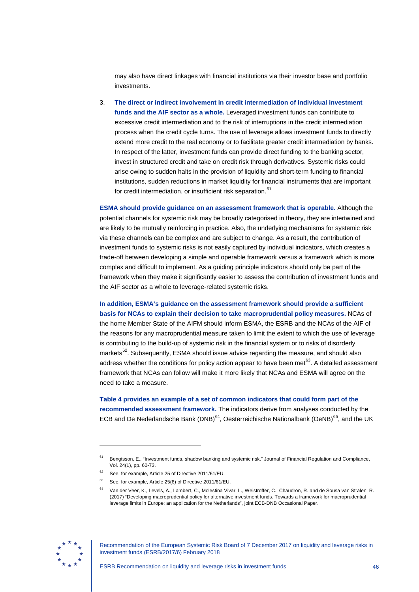may also have direct linkages with financial institutions via their investor base and portfolio investments.

3. **The direct or indirect involvement in credit intermediation of individual investment funds and the AIF sector as a whole.** Leveraged investment funds can contribute to excessive credit intermediation and to the risk of interruptions in the credit intermediation process when the credit cycle turns. The use of leverage allows investment funds to directly extend more credit to the real economy or to facilitate greater credit intermediation by banks. In respect of the latter, investment funds can provide direct funding to the banking sector, invest in structured credit and take on credit risk through derivatives. Systemic risks could arise owing to sudden halts in the provision of liquidity and short-term funding to financial institutions, sudden reductions in market liquidity for financial instruments that are important for credit intermediation, or insufficient risk separation.<sup>[61](#page-46-0)</sup>

**ESMA should provide guidance on an assessment framework that is operable.** Although the potential channels for systemic risk may be broadly categorised in theory, they are intertwined and are likely to be mutually reinforcing in practice. Also, the underlying mechanisms for systemic risk via these channels can be complex and are subject to change. As a result, the contribution of investment funds to systemic risks is not easily captured by individual indicators, which creates a trade-off between developing a simple and operable framework versus a framework which is more complex and difficult to implement. As a guiding principle indicators should only be part of the framework when they make it significantly easier to assess the contribution of investment funds and the AIF sector as a whole to leverage-related systemic risks.

**In addition, ESMA's guidance on the assessment framework should provide a sufficient basis for NCAs to explain their decision to take macroprudential policy measures.** NCAs of the home Member State of the AIFM should inform ESMA, the ESRB and the NCAs of the AIF of the reasons for any macroprudential measure taken to limit the extent to which the use of leverage is contributing to the build-up of systemic risk in the financial system or to risks of disorderly markets<sup>62</sup>. Subsequently, ESMA should issue advice regarding the measure, and should also address whether the conditions for policy action appear to have been met $^{63}$  $^{63}$  $^{63}$ . A detailed assessment framework that NCAs can follow will make it more likely that NCAs and ESMA will agree on the need to take a measure.

**Table 4 provides an example of a set of common indicators that could form part of the recommended assessment framework.** The indicators derive from analyses conducted by the ECB and De Nederlandsche Bank (DNB) $^{64}$  $^{64}$  $^{64}$ , Oesterreichische Nationalbank (OeNB) $^{65}$  $^{65}$  $^{65}$ , and the UK

<span id="page-46-4"></span><span id="page-46-3"></span><span id="page-46-2"></span><span id="page-46-1"></span><span id="page-46-0"></span>

<sup>61</sup> Bengtsson, E., "Investment funds, shadow banking and systemic risk." Journal of Financial Regulation and Compliance, Vol. 24(1), pp. 60-73.

See, for example, Article 25 of Directive 2011/61/EU.

<sup>63</sup> See, for example, Article 25(6) of Directive 2011/61/EU.

<sup>64</sup> Van der Veer, K., Levels, A., Lambert, C., Molestina Vivar, L., Weistroffer, C., Chaudron, R. and de Sousa van Stralen, R. (2017) "Developing macroprudential policy for alternative investment funds. Towards a framework for macroprudential leverage limits in Europe: an application for the Netherlands", joint ECB-DNB Occasional Paper.

Recommendation of the European Systemic Risk Board of 7 December 2017 on liquidity and leverage risks in investment funds (ESRB/2017/6) February 2018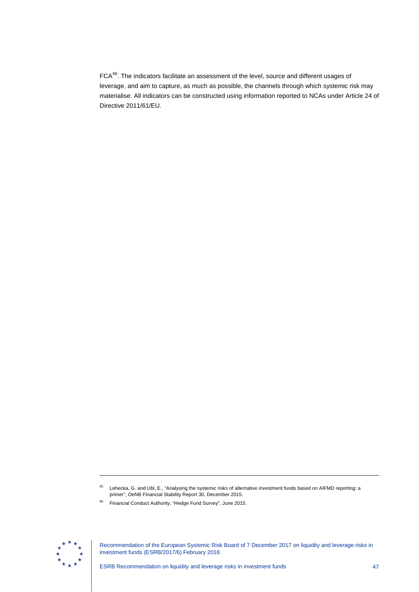FCA<sup>66</sup>. The indicators facilitate an assessment of the level, source and different usages of leverage, and aim to capture, as much as possible, the channels through which systemic risk may materialise. All indicators can be constructed using information reported to NCAs under Article 24 of Directive 2011/61/EU.

<span id="page-47-0"></span>

-

<sup>&</sup>lt;sup>65</sup> Lehecka, G. and Ubl, E., "Analysing the systemic risks of alternative investment funds based on AIFMD reporting: a primer", OeNB Financial Stability Report 30, December 2015.

<sup>66</sup> Financial Conduct Authority, "Hedge Fund Survey", June 2015.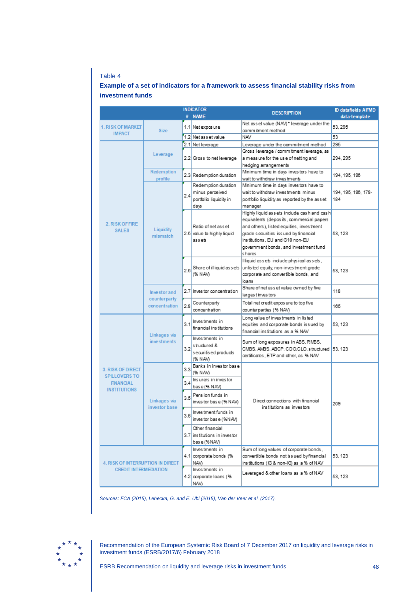### Table 4

### **Example of a set of indicators for a framework to assess financial stability risks from investment funds**

|                                    |                             |     | <b>INDICATOR</b>                                |                                                                                       | <b>ID datafields AIFMD</b> |  |  |
|------------------------------------|-----------------------------|-----|-------------------------------------------------|---------------------------------------------------------------------------------------|----------------------------|--|--|
|                                    |                             |     | # NAME                                          | <b>DESCRIPTION</b>                                                                    | data-template              |  |  |
| 1. RISK OF MARKET<br><b>IMPACT</b> | <b>Size</b>                 |     | 1.1 Net exposure                                | Net as set value (NAV) * leverage under the<br>commitment method                      | 53, 295                    |  |  |
|                                    |                             |     | 1.2 Net as set value                            | <b>NAV</b>                                                                            | 53                         |  |  |
|                                    |                             |     | 2.1 Net leverage                                | Leverage under the commitment method                                                  | 295                        |  |  |
|                                    | Leverage                    |     |                                                 | Gross leverage / commitment leverage, as                                              |                            |  |  |
|                                    |                             |     | 2.2 Gross to net leverage                       | a measure for the use of netting and                                                  | 294.295                    |  |  |
|                                    |                             |     |                                                 | hedging arrangements                                                                  |                            |  |  |
|                                    | <b>Redemption</b>           |     | 2.3 Redemption duration                         | Minimum time in days investors have to                                                | 194.195.198                |  |  |
|                                    | profile                     |     |                                                 | wait to withdraw inves tments                                                         |                            |  |  |
|                                    |                             |     | Redemption duration                             | Minimum time in days investors have to                                                |                            |  |  |
|                                    |                             | 24  | minus perceived                                 | wait to withdraw inves tments minus                                                   | 194, 195, 196, 178-<br>184 |  |  |
|                                    |                             |     | portfolio liquidity in<br>days                  | portfolio liquidity as reported by the asset<br>manager                               |                            |  |  |
|                                    |                             |     |                                                 | Highly liquid assets include cash and cash                                            |                            |  |  |
|                                    |                             |     |                                                 | equivalents (deposits, commercial papers                                              |                            |  |  |
| 2. RISK OF FIRE                    |                             |     | Ratio of net asset                              | and others), listed equities, investment                                              |                            |  |  |
| <b>SALES</b>                       | Liquidity<br>mismatch       |     | 2.5 value to highly liquid                      | grade securities issued by financial                                                  | 53, 123                    |  |  |
|                                    |                             |     | assets                                          | ins titutions, EU and G10 non-EU                                                      |                            |  |  |
|                                    |                             |     |                                                 | government bonds, and investment fund                                                 |                            |  |  |
|                                    |                             |     |                                                 | s hares                                                                               |                            |  |  |
|                                    |                             |     |                                                 | Illiquid assets include physical assets.                                              |                            |  |  |
|                                    |                             | 2.6 | Share of illiquid as sets                       | unlis ted equity, non-inves tment-grade                                               | 53, 123                    |  |  |
|                                    |                             |     | (% NAV)                                         | corporate and convertible bonds, and                                                  |                            |  |  |
|                                    |                             |     |                                                 | loans                                                                                 |                            |  |  |
|                                    | <b>Investor and</b>         |     | 2.7 Investor concentration                      | Share of net as set value owned by five<br>larges t inves tors                        | 118                        |  |  |
|                                    | counterparty                |     | Counterparty                                    | Total net credit expos ure to top five                                                |                            |  |  |
|                                    | concentration               | 2.8 | concentration                                   | counterparties (% NAV)                                                                | 165                        |  |  |
|                                    |                             |     |                                                 | Long value of investments in listed                                                   |                            |  |  |
|                                    |                             | 3.1 | Investments in                                  | equities and corporate bonds issued by                                                | 53.123                     |  |  |
|                                    |                             |     | financial institutions                          | financial institutions as a % NAV                                                     |                            |  |  |
|                                    | Linkages via<br>investments |     | Investments in                                  |                                                                                       |                            |  |  |
|                                    |                             |     | $3.2$ <sup>stuctured &amp;</sup>                | Sum of long exposures in ABS, RMBS,<br>CMBS, AMBS, ABCP, CDO, CLO, structured 53, 123 |                            |  |  |
|                                    |                             |     | s ecuritis ed products                          | certificates, ETP and other, as % NAV                                                 |                            |  |  |
|                                    |                             |     | (% NAV)                                         |                                                                                       |                            |  |  |
| 3. RISK OF DIRECT                  |                             | 3.3 | Banks in investor base<br>(% NAV)               |                                                                                       |                            |  |  |
| <b>SPILLOVERS TO</b>               |                             |     | Insurers in investor                            |                                                                                       |                            |  |  |
| <b>FINANCIAL</b>                   |                             | 3.4 | base (% NAV)                                    |                                                                                       |                            |  |  |
| <b>INSTITUTIONS</b>                |                             |     | Pension funds in                                |                                                                                       |                            |  |  |
|                                    | Linkages via                | 3.5 | inves tor bas e (% NAV)                         | Direct connections with financial                                                     | 209                        |  |  |
|                                    | investor base               |     |                                                 | institutions as investors                                                             |                            |  |  |
|                                    |                             | 3.6 | Investment funds in<br>inves tor bas e (%NAV)   |                                                                                       |                            |  |  |
|                                    |                             |     |                                                 |                                                                                       |                            |  |  |
|                                    |                             |     | Other financial<br>3.7 institutions in investor |                                                                                       |                            |  |  |
|                                    |                             |     | bas e (% NAV)                                   |                                                                                       |                            |  |  |
|                                    |                             |     | Investments in                                  | Sum of long values of corporate bonds,                                                |                            |  |  |
|                                    |                             |     | 4.1 corporate bonds (%                          | convertible bonds not is sued by financial                                            | 53, 123                    |  |  |
| 4. RISK OF INTERRUPTION IN DIRECT  |                             |     | NAV)                                            | institutions (IG & non-IG) as a % of NAV                                              |                            |  |  |
| <b>CREDIT INTERMEDIATION</b>       |                             |     | Investments in                                  | Leveraged & other loans as a % of NAV                                                 |                            |  |  |
|                                    |                             |     | 4.2 corporate loans (%                          |                                                                                       | 53, 123                    |  |  |
|                                    |                             |     | NAV)                                            |                                                                                       |                            |  |  |

*Sources: FCA (2015), Lehecka, G. and E. Ubl (2015), Van der Veer et al. (2017).*

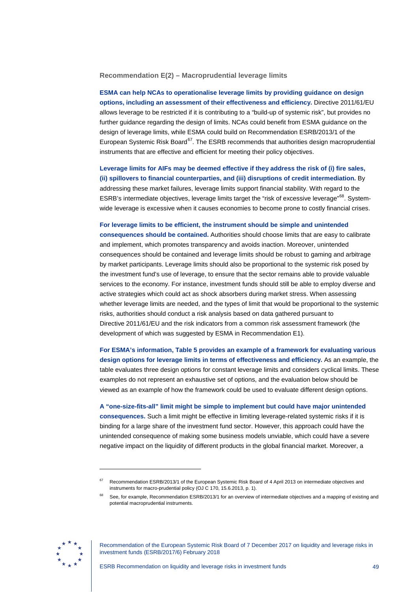<span id="page-49-0"></span>**Recommendation E(2) – Macroprudential leverage limits**

**ESMA can help NCAs to operationalise leverage limits by providing guidance on design options, including an assessment of their effectiveness and efficiency.** Directive 2011/61/EU allows leverage to be restricted if it is contributing to a "build-up of systemic risk", but provides no further guidance regarding the design of limits. NCAs could benefit from ESMA guidance on the design of leverage limits, while ESMA could build on Recommendation ESRB/2013/1 of the European Systemic Risk Board<sup>[67](#page-49-1)</sup>. The ESRB recommends that authorities design macroprudential instruments that are effective and efficient for meeting their policy objectives.

**Leverage limits for AIFs may be deemed effective if they address the risk of (i) fire sales, (ii) spillovers to financial counterparties, and (iii) disruptions of credit intermediation.** By addressing these market failures, leverage limits support financial stability. With regard to the ESRB's intermediate objectives, leverage limits target the "risk of excessive leverage"<sup>[68](#page-49-2)</sup>. Systemwide leverage is excessive when it causes economies to become prone to costly financial crises.

**For leverage limits to be efficient, the instrument should be simple and unintended consequences should be contained.** Authorities should choose limits that are easy to calibrate and implement, which promotes transparency and avoids inaction. Moreover, unintended consequences should be contained and leverage limits should be robust to gaming and arbitrage by market participants. Leverage limits should also be proportional to the systemic risk posed by the investment fund's use of leverage, to ensure that the sector remains able to provide valuable services to the economy. For instance, investment funds should still be able to employ diverse and active strategies which could act as shock absorbers during market stress. When assessing whether leverage limits are needed, and the types of limit that would be proportional to the systemic risks, authorities should conduct a risk analysis based on data gathered pursuant to Directive 2011/61/EU and the risk indicators from a common risk assessment framework (the development of which was suggested by ESMA in Recommendation E1).

**For ESMA's information, Table 5 provides an example of a framework for evaluating various design options for leverage limits in terms of effectiveness and efficiency.** As an example, the table evaluates three design options for constant leverage limits and considers cyclical limits. These examples do not represent an exhaustive set of options, and the evaluation below should be viewed as an example of how the framework could be used to evaluate different design options.

**A "one-size-fits-all" limit might be simple to implement but could have major unintended consequences.** Such a limit might be effective in limiting leverage-related systemic risks if it is binding for a large share of the investment fund sector. However, this approach could have the unintended consequence of making some business models unviable, which could have a severe negative impact on the liquidity of different products in the global financial market. Moreover, a

<span id="page-49-2"></span><span id="page-49-1"></span>

<sup>67</sup> Recommendation ESRB/2013/1 of the European Systemic Risk Board of 4 April 2013 on intermediate objectives and instruments for macro-prudential policy (OJ C 170, 15.6.2013, p. 1).

See, for example, Recommendation ESRB/2013/1 for an overview of intermediate objectives and a mapping of existing and potential macroprudential instruments.

Recommendation of the European Systemic Risk Board of 7 December 2017 on liquidity and leverage risks in investment funds (ESRB/2017/6) February 2018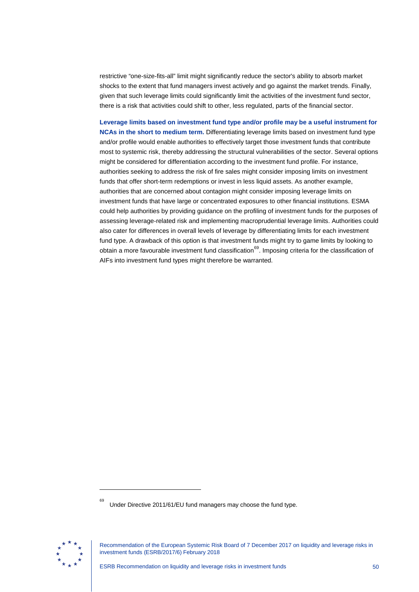restrictive "one-size-fits-all" limit might significantly reduce the sector's ability to absorb market shocks to the extent that fund managers invest actively and go against the market trends. Finally, given that such leverage limits could significantly limit the activities of the investment fund sector, there is a risk that activities could shift to other, less regulated, parts of the financial sector.

**Leverage limits based on investment fund type and/or profile may be a useful instrument for NCAs in the short to medium term.** Differentiating leverage limits based on investment fund type and/or profile would enable authorities to effectively target those investment funds that contribute most to systemic risk, thereby addressing the structural vulnerabilities of the sector. Several options might be considered for differentiation according to the investment fund profile. For instance, authorities seeking to address the risk of fire sales might consider imposing limits on investment funds that offer short-term redemptions or invest in less liquid assets. As another example, authorities that are concerned about contagion might consider imposing leverage limits on investment funds that have large or concentrated exposures to other financial institutions. ESMA could help authorities by providing guidance on the profiling of investment funds for the purposes of assessing leverage-related risk and implementing macroprudential leverage limits. Authorities could also cater for differences in overall levels of leverage by differentiating limits for each investment fund type. A drawback of this option is that investment funds might try to game limits by looking to obtain a more favourable investment fund classification<sup>[69](#page-50-0)</sup>. Imposing criteria for the classification of AIFs into investment fund types might therefore be warranted.

<span id="page-50-0"></span>

<sup>69</sup> Under Directive 2011/61/EU fund managers may choose the fund type.

Recommendation of the European Systemic Risk Board of 7 December 2017 on liquidity and leverage risks in investment funds (ESRB/2017/6) February 2018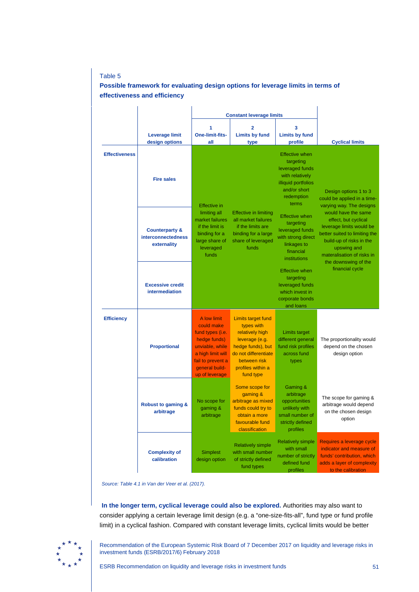### Table 5

### **Possible framework for evaluating design options for leverage limits in terms of effectiveness and efficiency**

|                      |                                                                | <b>Constant leverage limits</b>                                                                                                                                |                                                                                                                                                                             |                                                                                                                                        |                                                                                                                                                                                                           |
|----------------------|----------------------------------------------------------------|----------------------------------------------------------------------------------------------------------------------------------------------------------------|-----------------------------------------------------------------------------------------------------------------------------------------------------------------------------|----------------------------------------------------------------------------------------------------------------------------------------|-----------------------------------------------------------------------------------------------------------------------------------------------------------------------------------------------------------|
|                      | <b>Leverage limit</b><br>design options                        | One-limit-fits-<br>all                                                                                                                                         | 2<br><b>Limits by fund</b><br>type                                                                                                                                          | 3<br><b>Limits by fund</b><br>profile                                                                                                  | <b>Cyclical limits</b>                                                                                                                                                                                    |
| <b>Effectiveness</b> | <b>Fire sales</b>                                              | <b>Effective in</b>                                                                                                                                            |                                                                                                                                                                             | <b>Effective when</b><br>targeting<br>leveraged funds<br>with relatively<br>illiquid portfolios<br>and/or short<br>redemption<br>terms | Design options 1 to 3<br>could be applied in a time-<br>varying way. The designs                                                                                                                          |
|                      | <b>Counterparty &amp;</b><br>interconnectedness<br>externality | limiting all<br>market failures<br>if the limit is<br>binding for a<br>large share of<br>leveraged<br>funds                                                    | <b>Effective in limiting</b><br>all market failures<br>if the limits are<br>binding for a large<br>share of leveraged<br>funds                                              | <b>Effective when</b><br>targeting<br>leveraged funds<br>with strong direct<br>linkages to<br>financial<br>institutions                | would have the same<br>effect, but cyclical<br>leverage limits would be<br>better suited to limiting the<br>build-up of risks in the<br>upswing and<br>materalisation of risks in<br>the downswing of the |
|                      | <b>Excessive credit</b><br>intermediation                      |                                                                                                                                                                |                                                                                                                                                                             | <b>Effective when</b><br>targeting<br>leveraged funds<br>which invest in<br>corporate bonds<br>and loans                               | financial cycle                                                                                                                                                                                           |
| <b>Efficiency</b>    | <b>Proportional</b>                                            | A low limit<br>could make<br>fund types (i.e.<br>hedge funds)<br>unviable, while<br>a high limit will<br>fail to prevent a<br>general build-<br>up of leverage | <b>Limits target fund</b><br>types with<br>relatively high<br>leverage (e.g.<br>hedge funds), but<br>do not differentiate<br>between risk<br>profiles within a<br>fund type | <b>Limits target</b><br>different general<br>fund risk profiles<br>across fund<br>types                                                | The proportionality would<br>depend on the chosen<br>design option                                                                                                                                        |
|                      | Robust to gaming &<br>arbitrage                                | No scope for<br>gaming &<br>arbitrage                                                                                                                          | Some scope for<br>gaming &<br>arbitrage as mixed<br>funds could try to<br>obtain a more<br>favourable fund<br>classification                                                | Gaming &<br>arbitrage<br>opportunities<br>unlikely with<br>small number of<br>strictly defined<br>profiles                             | The scope for gaming &<br>arbitrage would depend<br>on the chosen design<br>option                                                                                                                        |
|                      | <b>Complexity of</b><br>calibration                            | <b>Simplest</b><br>design option                                                                                                                               | <b>Relatively simple</b><br>with small number<br>of strictly defined<br>fund types                                                                                          | <b>Relatively simple</b><br>with small<br>number of strictly<br>defined fund<br>profiles                                               | Requires a leverage cycle<br>indicator and measure of<br>funds' contribution, which<br>adds a layer of complexity<br>to the calibration                                                                   |

*Source: Table 4.1 in Van der Veer et al. (2017).*

**In the longer term, cyclical leverage could also be explored.** Authorities may also want to consider applying a certain leverage limit design (e.g. a "one-size-fits-all", fund type or fund profile limit) in a cyclical fashion. Compared with constant leverage limits, cyclical limits would be better

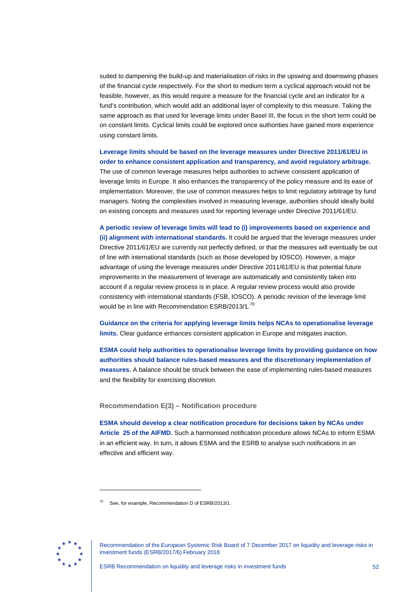suited to dampening the build-up and materialisation of risks in the upswing and downswing phases of the financial cycle respectively. For the short to medium term a cyclical approach would not be feasible, however, as this would require a measure for the financial cycle and an indicator for a fund's contribution, which would add an additional layer of complexity to this measure. Taking the same approach as that used for leverage limits under Basel III, the focus in the short term could be on constant limits. Cyclical limits could be explored once authorities have gained more experience using constant limits.

**Leverage limits should be based on the leverage measures under Directive 2011/61/EU in order to enhance consistent application and transparency, and avoid regulatory arbitrage.** The use of common leverage measures helps authorities to achieve consistent application of leverage limits in Europe. It also enhances the transparency of the policy measure and its ease of implementation. Moreover, the use of common measures helps to limit regulatory arbitrage by fund managers. Noting the complexities involved in measuring leverage, authorities should ideally build on existing concepts and measures used for reporting leverage under Directive 2011/61/EU.

**A periodic review of leverage limits will lead to (i) improvements based on experience and (ii) alignment with international standards.** It could be argued that the leverage measures under Directive 2011/61/EU are currently not perfectly defined, or that the measures will eventually be out of line with international standards (such as those developed by IOSCO). However, a major advantage of using the leverage measures under Directive 2011/61/EU is that potential future improvements in the measurement of leverage are automatically and consistently taken into account if a regular review process is in place. A regular review process would also provide consistency with international standards (FSB, IOSCO). A periodic revision of the leverage limit would be in line with Recommendation ESRB/2013/1.<sup>[70](#page-52-1)</sup>

**Guidance on the criteria for applying leverage limits helps NCAs to operationalise leverage limits.** Clear guidance enhances consistent application in Europe and mitigates inaction.

**ESMA could help authorities to operationalise leverage limits by providing guidance on how authorities should balance rules-based measures and the discretionary implementation of measures.** A balance should be struck between the ease of implementing rules-based measures and the flexibility for exercising discretion.

#### **Recommendation E(3) – Notification procedure**

<span id="page-52-0"></span>**ESMA should develop a clear notification procedure for decisions taken by NCAs under Article 25 of the AIFMD.** Such a harmonised notification procedure allows NCAs to inform ESMA in an efficient way. In turn, it allows ESMA and the ESRB to analyse such notifications in an effective and efficient way.

<span id="page-52-1"></span>

See, for example, Recommendation D of ESRB/2013/1.

Recommendation of the European Systemic Risk Board of 7 December 2017 on liquidity and leverage risks in investment funds (ESRB/2017/6) February 2018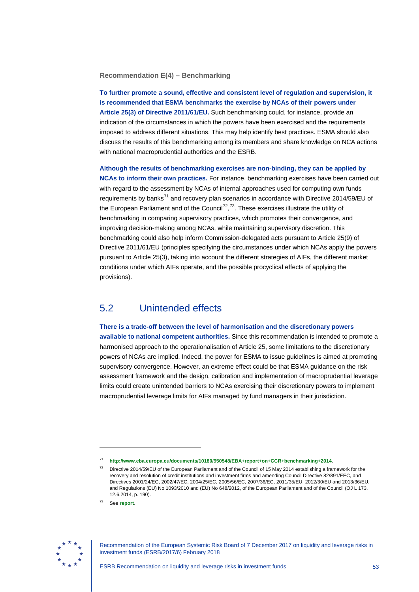**Recommendation E(4) – Benchmarking**

<span id="page-53-0"></span>**To further promote a sound, effective and consistent level of regulation and supervision, it is recommended that ESMA benchmarks the exercise by NCAs of their powers under Article 25(3) of Directive 2011/61/EU.** Such benchmarking could, for instance, provide an indication of the circumstances in which the powers have been exercised and the requirements imposed to address different situations. This may help identify best practices. ESMA should also discuss the results of this benchmarking among its members and share knowledge on NCA actions with national macroprudential authorities and the ESRB.

**Although the results of benchmarking exercises are non-binding, they can be applied by NCAs to inform their own practices.** For instance, benchmarking exercises have been carried out with regard to the assessment by NCAs of internal approaches used for computing own funds requirements by banks<sup>[71](#page-53-2)</sup> and recovery plan scenarios in accordance with Directive 2014/59/EU of the European Parliament and of the Council<sup>72</sup>,<sup>[73](#page-53-4)</sup>. These exercises illustrate the utility of benchmarking in comparing supervisory practices, which promotes their convergence, and improving decision-making among NCAs, while maintaining supervisory discretion. This benchmarking could also help inform Commission-delegated acts pursuant to Article 25(9) of Directive 2011/61/EU (principles specifying the circumstances under which NCAs apply the powers pursuant to Article 25(3), taking into account the different strategies of AIFs, the different market conditions under which AIFs operate, and the possible procyclical effects of applying the provisions).

## 5.2 Unintended effects

<span id="page-53-1"></span>**There is a trade-off between the level of harmonisation and the discretionary powers available to national competent authorities.** Since this recommendation is intended to promote a harmonised approach to the operationalisation of Article 25, some limitations to the discretionary powers of NCAs are implied. Indeed, the power for ESMA to issue guidelines is aimed at promoting supervisory convergence. However, an extreme effect could be that ESMA guidance on the risk assessment framework and the design, calibration and implementation of macroprudential leverage limits could create unintended barriers to NCAs exercising their discretionary powers to implement macroprudential leverage limits for AIFs managed by fund managers in their jurisdiction.

<span id="page-53-4"></span><span id="page-53-3"></span><span id="page-53-2"></span>

Recommendation of the European Systemic Risk Board of 7 December 2017 on liquidity and leverage risks in investment funds (ESRB/2017/6) February 2018

<sup>71</sup> **<http://www.eba.europa.eu/documents/10180/950548/EBA+report+on+CCR+benchmarking+2014>**.

Directive 2014/59/EU of the European Parliament and of the Council of 15 May 2014 establishing a framework for the recovery and resolution of credit institutions and investment firms and amending Council Directive 82/891/EEC, and Directives 2001/24/EC, 2002/47/EC, 2004/25/EC, 2005/56/EC, 2007/36/EC, 2011/35/EU, 2012/30/EU and 2013/36/EU, and Regulations (EU) No 1093/2010 and (EU) No 648/2012, of the European Parliament and of the Council (OJ L 173, 12.6.2014, p. 190).

See *[report](https://www.eba.europa.eu/-/eba-benchmarks-approaches-on-scenarios-in-recovery-plans)*.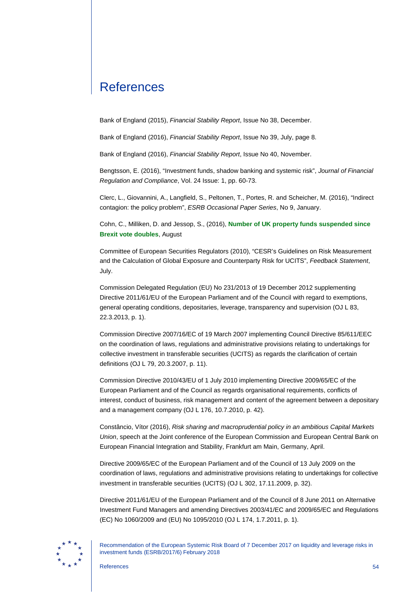# **References**

Bank of England (2015), *Financial Stability Report*, Issue No 38, December.

Bank of England (2016), *Financial Stability Report*, Issue No 39, July, page 8.

Bank of England (2016), *Financial Stability Report*, Issue No 40, November.

Bengtsson, E. (2016), "Investment funds, shadow banking and systemic risk", *Journal of Financial Regulation and Compliance*, Vol. 24 Issue: 1, pp. 60-73.

Clerc, L., Giovannini, A., Langfield, S., Peltonen, T., Portes, R. and Scheicher, M. (2016), "Indirect contagion: the policy problem", *ESRB Occasional Paper Series*, No 9, January.

Cohn, C., Milliken, D. and Jessop, S., (2016), **[Number of UK property funds suspended since](http://uk.reuters.com/article/uk-britain-eu-property/number-of-uk-property-funds-suspended-since-brexit-vote-doubles-idUKKCN0ZL13H)  [Brexit vote doubles](http://uk.reuters.com/article/uk-britain-eu-property/number-of-uk-property-funds-suspended-since-brexit-vote-doubles-idUKKCN0ZL13H)**, August

Committee of European Securities Regulators (2010), "CESR's Guidelines on Risk Measurement and the Calculation of Global Exposure and Counterparty Risk for UCITS", *Feedback Statement*, July.

Commission Delegated Regulation (EU) No 231/2013 of 19 December 2012 supplementing Directive 2011/61/EU of the European Parliament and of the Council with regard to exemptions, general operating conditions, depositaries, leverage, transparency and supervision (OJ L 83, 22.3.2013, p. 1).

Commission Directive 2007/16/EC of 19 March 2007 implementing Council Directive 85/611/EEC on the coordination of laws, regulations and administrative provisions relating to undertakings for collective investment in transferable securities (UCITS) as regards the clarification of certain definitions (OJ L 79, 20.3.2007, p. 11).

Commission Directive 2010/43/EU of 1 July 2010 implementing Directive 2009/65/EC of the European Parliament and of the Council as regards organisational requirements, conflicts of interest, conduct of business, risk management and content of the agreement between a depositary and a management company (OJ L 176, 10.7.2010, p. 42).

Constâncio, Vítor (2016), *Risk sharing and macroprudential policy in an ambitious Capital Markets Union*, speech at the Joint conference of the European Commission and European Central Bank on European Financial Integration and Stability, Frankfurt am Main, Germany, April.

Directive 2009/65/EC of the European Parliament and of the Council of 13 July 2009 on the coordination of laws, regulations and administrative provisions relating to undertakings for collective investment in transferable securities (UCITS) (OJ L 302, 17.11.2009, p. 32).

Directive 2011/61/EU of the European Parliament and of the Council of 8 June 2011 on Alternative Investment Fund Managers and amending Directives 2003/41/EC and 2009/65/EC and Regulations (EC) No 1060/2009 and (EU) No 1095/2010 (OJ L 174, 1.7.2011, p. 1).

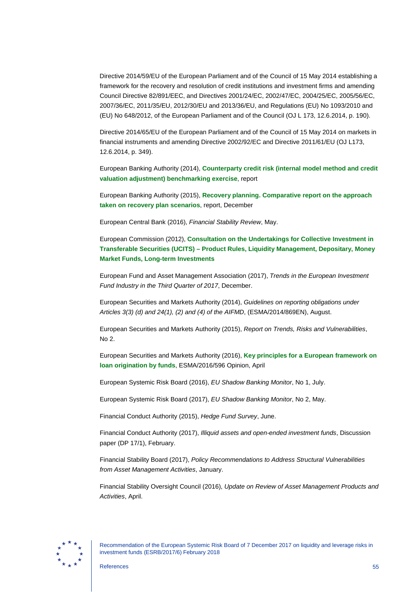<span id="page-55-0"></span>Directive 2014/59/EU of the European Parliament and of the Council of 15 May 2014 establishing a framework for the recovery and resolution of credit institutions and investment firms and amending Council Directive 82/891/EEC, and Directives 2001/24/EC, 2002/47/EC, 2004/25/EC, 2005/56/EC, 2007/36/EC, 2011/35/EU, 2012/30/EU and 2013/36/EU, and Regulations (EU) No 1093/2010 and (EU) No 648/2012, of the European Parliament and of the Council (OJ L 173, 12.6.2014, p. 190).

Directive 2014/65/EU of the European Parliament and of the Council of 15 May 2014 on markets in financial instruments and amending Directive 2002/92/EC and Directive 2011/61/EU (OJ L173, 12.6.2014, p. 349).

European Banking Authority (2014), **[Counterparty credit risk \(internal model method and credit](http://www.eba.europa.eu/documents/10180/950548/EBA+report+on+CCR+benchmarking+2014)  [valuation adjustment\) benchmarking exercise](http://www.eba.europa.eu/documents/10180/950548/EBA+report+on+CCR+benchmarking+2014)**, report

European Banking Authority (2015), **[Recovery planning. Comparative report on the approach](http://www.eba.europa.eu/documents/10180/950548/Report+on+benchmarking+scenarios+in+recovery+plans.pdf)  [taken on recovery plan scenarios](http://www.eba.europa.eu/documents/10180/950548/Report+on+benchmarking+scenarios+in+recovery+plans.pdf)**, report, December

European Central Bank (2016), *Financial Stability Review*, May.

European Commission (2012), **[Consultation on the Undertakings for Collective Investment in](http://ec.europa.eu/finance/consultations/2012/ucits/contributions_en.htm)  Transferable Securities (UCITS) – [Product Rules, Liquidity Management, Depositary, Money](http://ec.europa.eu/finance/consultations/2012/ucits/contributions_en.htm)  [Market Funds, Long-term Investments](http://ec.europa.eu/finance/consultations/2012/ucits/contributions_en.htm)**

European Fund and Asset Management Association (2017), *Trends in the European Investment Fund Industry in the Third Quarter of 2017*, December.

European Securities and Markets Authority (2014), *Guidelines on reporting obligations under Articles 3(3) (d) and 24(1), (2) and (4) of the AIFMD*, (ESMA/2014/869EN), August.

European Securities and Markets Authority (2015), *Report on Trends, Risks and Vulnerabilities*, No 2.

European Securities and Markets Authority (2016), **[Key principles for a European framework on](https://www.esma.europa.eu/sites/default/files/library/2016-596_opinion_on_loan_origination.pdf)  [loan origination by funds](https://www.esma.europa.eu/sites/default/files/library/2016-596_opinion_on_loan_origination.pdf)**, ESMA/2016/596 Opinion, April

European Systemic Risk Board (2016), *EU Shadow Banking Monitor*, No 1, July.

European Systemic Risk Board (2017), *EU Shadow Banking Monitor*, No 2, May.

Financial Conduct Authority (2015), *Hedge Fund Survey*, June.

Financial Conduct Authority (2017), *Illiquid assets and open-ended investment funds*, Discussion paper (DP 17/1), February.

Financial Stability Board (2017), *Policy Recommendations to Address Structural Vulnerabilities from Asset Management Activities*, January.

Financial Stability Oversight Council (2016), *Update on Review of Asset Management Products and Activities*, April.

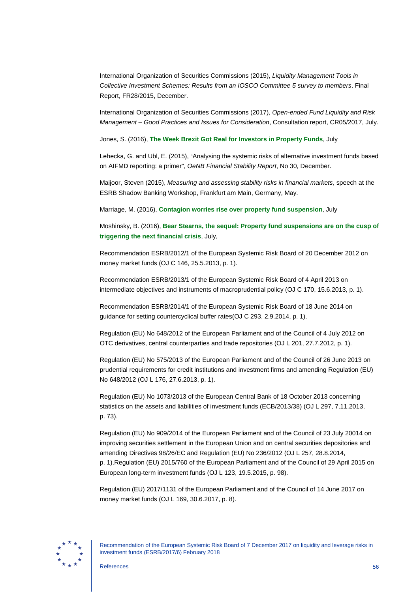International Organization of Securities Commissions (2015), *Liquidity Management Tools in Collective Investment Schemes: Results from an IOSCO Committee 5 survey to members*. Final Report, FR28/2015, December.

International Organization of Securities Commissions (2017), *Open-ended Fund Liquidity and Risk Management – Good Practices and Issues for Consideration*, Consultation report, CR05/2017, July.

Jones, S. (2016), **[The Week Brexit Got Real for Investors in Property Funds](https://www.bloomberg.com/news/articles/2016-07-11/the-week-brexit-got-real-for-investors-in-frozen-property-funds)**, July

Lehecka, G. and Ubl, E. (2015), "Analysing the systemic risks of alternative investment funds based on AIFMD reporting: a primer", *OeNB Financial Stability Report*, No 30, December.

Maijoor, Steven (2015), *Measuring and assessing stability risks in financial markets*, speech at the ESRB Shadow Banking Workshop, Frankfurt am Main, Germany, May.

Marriage, M. (2016), **[Contagion worries rise over property fund suspension](https://www.ft.com/content/4f6b1a9a-452c-11e6-9b66-0712b3873ae1)**, July

Moshinsky, B. (2016), **[Bear Stearns, the sequel: Property fund suspensions are on the cusp of](http://uk.businessinsider.com/guide-why-uk-property-fund-suspensions-trigger-financial-crisis-risks-analysis-2016-7)  [triggering the next financial crisis](http://uk.businessinsider.com/guide-why-uk-property-fund-suspensions-trigger-financial-crisis-risks-analysis-2016-7)**, July,

Recommendation ESRB/2012/1 of the European Systemic Risk Board of 20 December 2012 on money market funds (OJ C 146, 25.5.2013, p. 1).

Recommendation ESRB/2013/1 of the European Systemic Risk Board of 4 April 2013 on intermediate objectives and instruments of macroprudential policy (OJ C 170, 15.6.2013, p. 1).

Recommendation ESRB/2014/1 of the European Systemic Risk Board of 18 June 2014 on guidance for setting countercyclical buffer rates(OJ C 293, 2.9.2014, p. 1).

Regulation (EU) No 648/2012 of the European Parliament and of the Council of 4 July 2012 on OTC derivatives, central counterparties and trade repositories (OJ L 201, 27.7.2012, p. 1).

Regulation (EU) No 575/2013 of the European Parliament and of the Council of 26 June 2013 on prudential requirements for credit institutions and investment firms and amending Regulation (EU) No 648/2012 (OJ L 176, 27.6.2013, p. 1).

Regulation (EU) No 1073/2013 of the European Central Bank of 18 October 2013 concerning statistics on the assets and liabilities of investment funds (ECB/2013/38) (OJ L 297, 7.11.2013, p. 73).

Regulation (EU) No 909/2014 of the European Parliament and of the Council of 23 July 20014 on improving securities settlement in the European Union and on central securities depositories and amending Directives 98/26/EC and Regulation (EU) No 236/2012 (OJ L 257, 28.8.2014, p. 1).Regulation (EU) 2015/760 of the European Parliament and of the Council of 29 April 2015 on European long-term investment funds (OJ L 123, 19.5.2015, p. 98).

Regulation (EU) 2017/1131 of the European Parliament and of the Council of 14 June 2017 on money market funds (OJ L 169, 30.6.2017, p. 8).

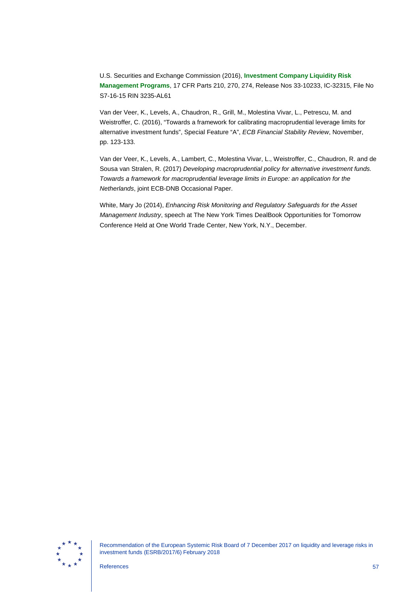U.S. Securities and Exchange Commission (2016), **[Investment Company Liquidity Risk](https://www.sec.gov/rules/final/2016/33-10233.pdf)  [Management Programs](https://www.sec.gov/rules/final/2016/33-10233.pdf)**, 17 CFR Parts 210, 270, 274, Release Nos 33-10233, IC-32315, File No S7-16-15 RIN 3235-AL61

Van der Veer, K., Levels, A., Chaudron, R., Grill, M., Molestina Vivar, L., Petrescu, M. and Weistroffer, C. (2016), "Towards a framework for calibrating macroprudential leverage limits for alternative investment funds", Special Feature "A", *ECB Financial Stability Review*, November, pp. 123-133.

Van der Veer, K., Levels, A., Lambert, C., Molestina Vivar, L., Weistroffer, C., Chaudron, R. and de Sousa van Stralen, R. (2017) *Developing macroprudential policy for alternative investment funds. Towards a framework for macroprudential leverage limits in Europe: an application for the Netherlands*, joint ECB-DNB Occasional Paper.

White, Mary Jo (2014), *Enhancing Risk Monitoring and Regulatory Safeguards for the Asset Management Industry*, speech at The New York Times DealBook Opportunities for Tomorrow Conference Held at One World Trade Center, New York, N.Y., December.

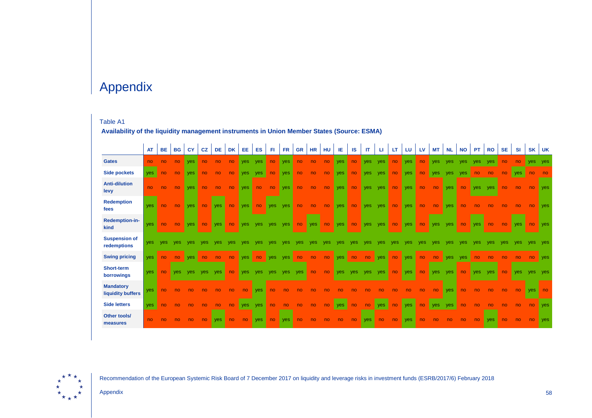# Appendix

### Table A1

**Availability of the liquidity management instruments in Union Member States (Source: ESMA)**

|                                       | <b>AT</b>  | <b>BE</b>      | <b>BG</b>  | <b>CY</b>  | <b>CZ</b>  | <b>DE</b>  | <b>DK</b> | <b>EE</b>  | ES         | FL.            | <b>FR</b>  | <b>GR</b>      | <b>HR</b>      | HU             | IE         | <b>IS</b>      | <b>IT</b>  | ш              | LT  | LU.        | LV             | <b>MT</b>  | <b>NL</b>  | <b>NO</b>      | <b>PT</b>  | <b>RO</b>      | <b>SE</b> | <b>SI</b>  | SK         | UK             |
|---------------------------------------|------------|----------------|------------|------------|------------|------------|-----------|------------|------------|----------------|------------|----------------|----------------|----------------|------------|----------------|------------|----------------|-----|------------|----------------|------------|------------|----------------|------------|----------------|-----------|------------|------------|----------------|
| <b>Gates</b>                          | no         | no             | no         | yes        | no         | no         | no        | <b>ves</b> | yes        | no             | <b>ves</b> | no             | no             | no             | <b>yes</b> | no             | <b>ves</b> | yes            | no  | yes        | n <sub>o</sub> | <b>ves</b> | <b>ves</b> | yes            | yes        | yes            | no        | no         | <b>yes</b> | yes            |
| <b>Side pockets</b>                   | yes        | no             | no         | yes        | no         | no         | no        | <b>ves</b> | yes        | no             | <b>ves</b> | n <sub>o</sub> | no             | no             | <b>yes</b> | no             | <b>ves</b> | yes            | no  | <b>ves</b> | n <sub>o</sub> | yes        | yes        | yes            | no         | no             | no        | yes        | no         | no             |
| <b>Anti-dilution</b><br>levy          | no         | n <sub>o</sub> | no         | yes        | no         | no         | no        | <b>ves</b> | no         | n <sub>o</sub> | <b>yes</b> | no             | no             | no             | <b>yes</b> | no             | <b>yes</b> | yes            | no  | <b>ves</b> | no             | no         | <b>ves</b> | no             | <b>ves</b> | yes            | no        | no         | no         | <b>ves</b>     |
| <b>Redemption</b><br>fees             | <b>ves</b> | no             | no         | yes        | no         | <b>ves</b> | no        | <b>ves</b> | no         | <b>yes</b>     | <b>ves</b> | no             | no             | n <sub>o</sub> | <b>yes</b> | no             | <b>ves</b> | <b>ves</b>     | no  | <b>ves</b> | no             | no         | <b>ves</b> | n <sub>o</sub> | no.        | no             | no        | no         | no         | <b>ves</b>     |
| Redemption-in-<br>kind                | yes        | no             | no         | <b>ves</b> | no         | <b>ves</b> | no        | <b>ves</b> | <b>ves</b> | <b>ves</b>     | <b>ves</b> | no             | yes            | n <sub>o</sub> | <b>yes</b> | no             | <b>yes</b> | yes            | no  | yes        | no             | <b>ves</b> | <b>ves</b> | no             | yes        | n <sub>o</sub> | no        | <b>ves</b> | no         | yes            |
| <b>Suspension of</b><br>redemptions   | <b>ves</b> | ves            | ves        | yes        | ves        | ves        | yes       | <b>ves</b> | ves        | ves            | ves        | yes            | yes            | yes            | yes        | <b>ves</b>     | yes        | ves            | ves | yes        | yes            | ves        | yes        | yes            | ves        | ves            | ves       | yes        | ves        | yes            |
| <b>Swing pricing</b>                  | yes        | no             | no         | yes        | no         | no         | no        | <b>ves</b> | no         | <b>ves</b>     | yes        | no             | no             | no             | <b>yes</b> | no             | no         | <b>yes</b>     | no  | <b>ves</b> | no             | no         | yes        | yes            | no         | no             | no        | no         | no         | yes            |
| Short-term<br>borrowings              | ves        | no             | <b>ves</b> | <b>ves</b> | <b>ves</b> | ves        | no        | yes        | <b>ves</b> | ves            | <b>ves</b> | yes            | no             | n <sub>o</sub> | <b>ves</b> | <b>ves</b>     | <b>ves</b> | ves            | no  | yes        | no             | <b>yes</b> | <b>ves</b> | no             | <b>ves</b> | <b>ves</b>     | no        | ves        | ves        | <b>ves</b>     |
| <b>Mandatory</b><br>liquidity buffers | yes        | no             | no.        | no         | no         | no         | no        | no         | <b>ves</b> | no.            | no         | no             | no             | no             | no         | no             | no         | no             | no  | no         | no             | no         | <b>ves</b> | no             | no         | no             | no        | no         | <b>ves</b> | n <sub>o</sub> |
| <b>Side letters</b>                   | yes        | no             | no         | no         | no         | no         | no        | <b>yes</b> | yes        | no             | no         | no             | n <sub>o</sub> | no             | yes        | n <sub>o</sub> | no         | <b>ves</b>     | no  | <b>ves</b> | no             | <b>yes</b> | yes        | n <sub>o</sub> | no         |                | no        | no         | no         | <b>ves</b>     |
| Other tools/<br>measures              | no         | no             | no         | no         | no         | <b>ves</b> | no        | no         | <b>ves</b> | no             | yes        | n <sub>o</sub> | no             | no             | no         | no             | <b>ves</b> | n <sub>o</sub> | no  | yes        | n <sub>o</sub> | no         | no         | no             | no         | <b>ves</b>     | no        | no         | no         | yes            |



Recommendation of the European Systemic Risk Board of 7 December 2017 on liquidity and leverage risks in investment funds (ESRB/2017/6) February 2018

Appendix 58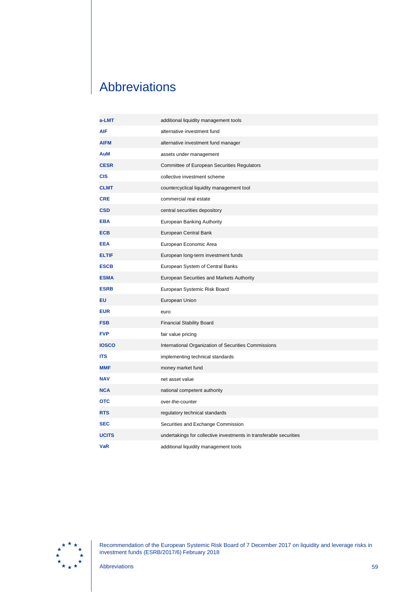# <span id="page-59-0"></span>Abbreviations

| a-LMT        | additional liquidity management tools                              |
|--------------|--------------------------------------------------------------------|
| <b>AIF</b>   | alternative investment fund                                        |
| <b>AIFM</b>  | alternative investment fund manager                                |
| AuM          | assets under management                                            |
| <b>CESR</b>  | Committee of European Securities Regulators                        |
| <b>CIS</b>   | collective investment scheme                                       |
| <b>CLMT</b>  | countercyclical liquidity management tool                          |
| <b>CRE</b>   | commercial real estate                                             |
| <b>CSD</b>   | central securities depository                                      |
| <b>EBA</b>   | European Banking Authority                                         |
| <b>ECB</b>   | European Central Bank                                              |
| <b>EEA</b>   | European Economic Area                                             |
| <b>ELTIF</b> | European long-term investment funds                                |
| <b>ESCB</b>  | European System of Central Banks                                   |
| <b>ESMA</b>  | European Securities and Markets Authority                          |
| <b>ESRB</b>  | European Systemic Risk Board                                       |
| EU           | European Union                                                     |
| <b>EUR</b>   | euro                                                               |
| <b>FSB</b>   | <b>Financial Stability Board</b>                                   |
| <b>FVP</b>   | fair value pricing                                                 |
| <b>IOSCO</b> | International Organization of Securities Commissions               |
| <b>ITS</b>   | implementing technical standards                                   |
| <b>MMF</b>   | money market fund                                                  |
| <b>NAV</b>   | net asset value                                                    |
| <b>NCA</b>   | national competent authority                                       |
| <b>OTC</b>   | over-the-counter                                                   |
| <b>RTS</b>   | regulatory technical standards                                     |
| <b>SEC</b>   | Securities and Exchange Commission                                 |
| <b>UCITS</b> | undertakings for collective investments in transferable securities |
| <b>VaR</b>   | additional liquidity management tools                              |